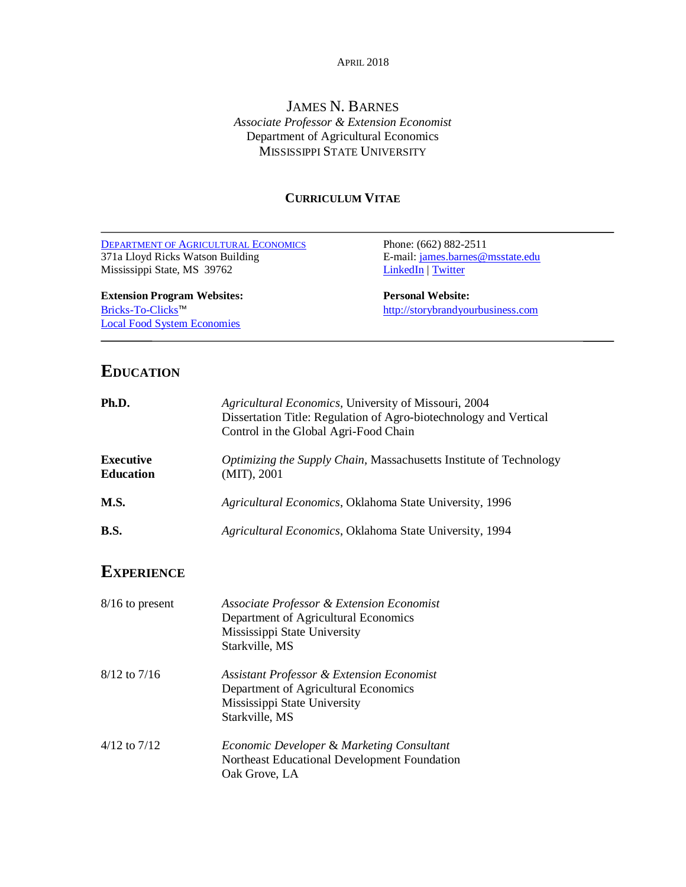#### APRIL 2018

## JAMES N. BARNES *Associate Professor & Extension Economist* Department of Agricultural Economics MISSISSIPPI STATE UNIVERSITY

## **CURRICULUM VITAE**

| <b>DEPARTMENT OF AGRICULTURAL ECONOMICS</b> | Phone: (662) 882-2511             |
|---------------------------------------------|-----------------------------------|
| 371a Lloyd Ricks Watson Building            | E-mail: james.barnes@msstate.edu  |
| Mississippi State, MS 39762                 | <b>LinkedIn</b>   Twitter         |
| <b>Extension Program Websites:</b>          | <b>Personal Website:</b>          |
| Bricks-To-Clicks™                           | http://storybrandyourbusiness.com |
| <b>Local Food System Economies</b>          |                                   |
|                                             |                                   |

# **EDUCATION**

| Ph.D.                                | Agricultural Economics, University of Missouri, 2004<br>Dissertation Title: Regulation of Agro-biotechnology and Vertical<br>Control in the Global Agri-Food Chain |  |  |
|--------------------------------------|--------------------------------------------------------------------------------------------------------------------------------------------------------------------|--|--|
| <b>Executive</b><br><b>Education</b> | Optimizing the Supply Chain, Massachusetts Institute of Technology<br>$(MIT)$ , 2001                                                                               |  |  |
| M.S.                                 | Agricultural Economics, Oklahoma State University, 1996                                                                                                            |  |  |
| <b>B.S.</b>                          | Agricultural Economics, Oklahoma State University, 1994                                                                                                            |  |  |
| <b>EXPERIENCE</b>                    |                                                                                                                                                                    |  |  |
| $8/16$ to present                    | Associate Professor & Extension Economist<br>Department of Agricultural Economics<br>Mississippi State University<br>Starkville, MS                                |  |  |
| $8/12$ to $7/16$                     | <b>Assistant Professor &amp; Extension Economist</b><br>Department of Agricultural Economics<br>Mississippi State University<br>Starkville, MS                     |  |  |
| $4/12$ to $7/12$                     | Economic Developer & Marketing Consultant<br>Northeast Educational Development Foundation<br>Oak Grove, LA                                                         |  |  |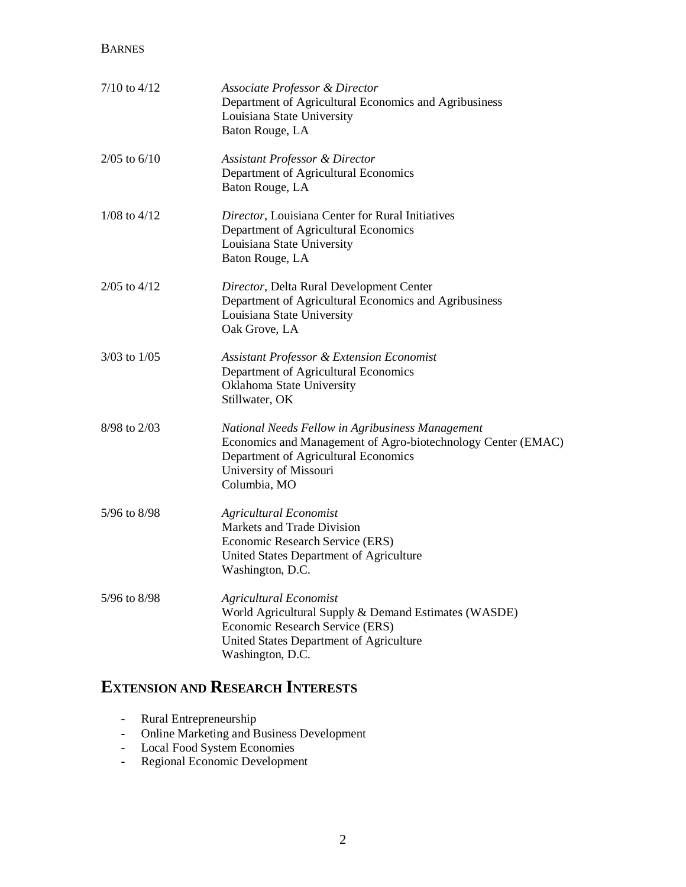## BARNES

| $7/10$ to $4/12$ | Associate Professor & Director<br>Department of Agricultural Economics and Agribusiness<br>Louisiana State University<br>Baton Rouge, LA                                                           |
|------------------|----------------------------------------------------------------------------------------------------------------------------------------------------------------------------------------------------|
| $2/05$ to $6/10$ | <b>Assistant Professor &amp; Director</b><br>Department of Agricultural Economics<br>Baton Rouge, LA                                                                                               |
| $1/08$ to $4/12$ | Director, Louisiana Center for Rural Initiatives<br>Department of Agricultural Economics<br>Louisiana State University<br>Baton Rouge, LA                                                          |
| $2/05$ to $4/12$ | Director, Delta Rural Development Center<br>Department of Agricultural Economics and Agribusiness<br>Louisiana State University<br>Oak Grove, LA                                                   |
| $3/03$ to $1/05$ | <b>Assistant Professor &amp; Extension Economist</b><br>Department of Agricultural Economics<br>Oklahoma State University<br>Stillwater, OK                                                        |
| 8/98 to 2/03     | National Needs Fellow in Agribusiness Management<br>Economics and Management of Agro-biotechnology Center (EMAC)<br>Department of Agricultural Economics<br>University of Missouri<br>Columbia, MO |
| 5/96 to 8/98     | <b>Agricultural Economist</b><br>Markets and Trade Division<br>Economic Research Service (ERS)<br>United States Department of Agriculture<br>Washington, D.C.                                      |
| 5/96 to 8/98     | <b>Agricultural Economist</b><br>World Agricultural Supply & Demand Estimates (WASDE)<br>Economic Research Service (ERS)<br>United States Department of Agriculture<br>Washington, D.C.            |

# **EXTENSION AND RESEARCH INTERESTS**

- **-** Rural Entrepreneurship
- **-** Online Marketing and Business Development
- **-** Local Food System Economies
- **-** Regional Economic Development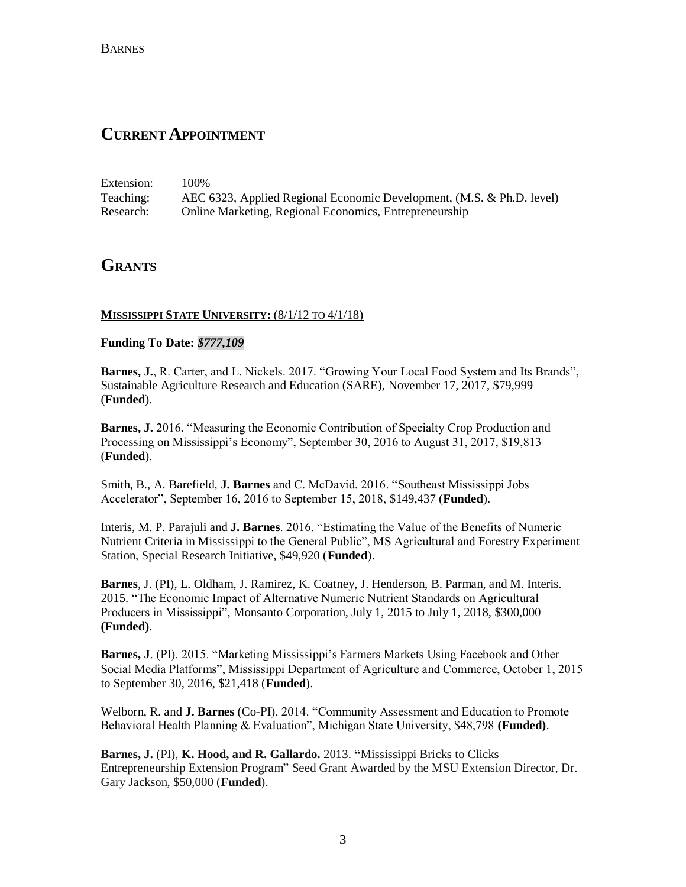## **CURRENT APPOINTMENT**

Extension: 100% Teaching: AEC 6323, Applied Regional Economic Development, (M.S. & Ph.D. level) Research: Online Marketing, Regional Economics, Entrepreneurship

## **GRANTS**

### **MISSISSIPPI STATE UNIVERSITY:** (8/1/12 TO 4/1/18)

#### **Funding To Date:** *\$777,109*

**Barnes, J.**, R. Carter, and L. Nickels. 2017. "Growing Your Local Food System and Its Brands", Sustainable Agriculture Research and Education (SARE), November 17, 2017, \$79,999 (**Funded**).

**Barnes, J.** 2016. "Measuring the Economic Contribution of Specialty Crop Production and Processing on Mississippi's Economy", September 30, 2016 to August 31, 2017, \$19,813 (**Funded**).

Smith, B., A. Barefield, **J. Barnes** and C. McDavid. 2016. "Southeast Mississippi Jobs Accelerator", September 16, 2016 to September 15, 2018, \$149,437 (**Funded**).

Interis, M. P. Parajuli and **J. Barnes**. 2016. "Estimating the Value of the Benefits of Numeric Nutrient Criteria in Mississippi to the General Public", MS Agricultural and Forestry Experiment Station, Special Research Initiative, \$49,920 (**Funded**).

**Barnes**, J. (PI), L. Oldham, J. Ramirez, K. Coatney, J. Henderson, B. Parman, and M. Interis. 2015. "The Economic Impact of Alternative Numeric Nutrient Standards on Agricultural Producers in Mississippi", Monsanto Corporation, July 1, 2015 to July 1, 2018, \$300,000 **(Funded)**.

**Barnes, J**. (PI). 2015. "Marketing Mississippi's Farmers Markets Using Facebook and Other Social Media Platforms", Mississippi Department of Agriculture and Commerce, October 1, 2015 to September 30, 2016, \$21,418 (**Funded**).

Welborn, R. and **J. Barnes** (Co-PI). 2014. "Community Assessment and Education to Promote Behavioral Health Planning & Evaluation", Michigan State University, \$48,798 **(Funded)**.

**Barnes, J.** (PI), **K. Hood, and R. Gallardo.** 2013. **"**Mississippi Bricks to Clicks Entrepreneurship Extension Program" Seed Grant Awarded by the MSU Extension Director, Dr. Gary Jackson, \$50,000 (**Funded**).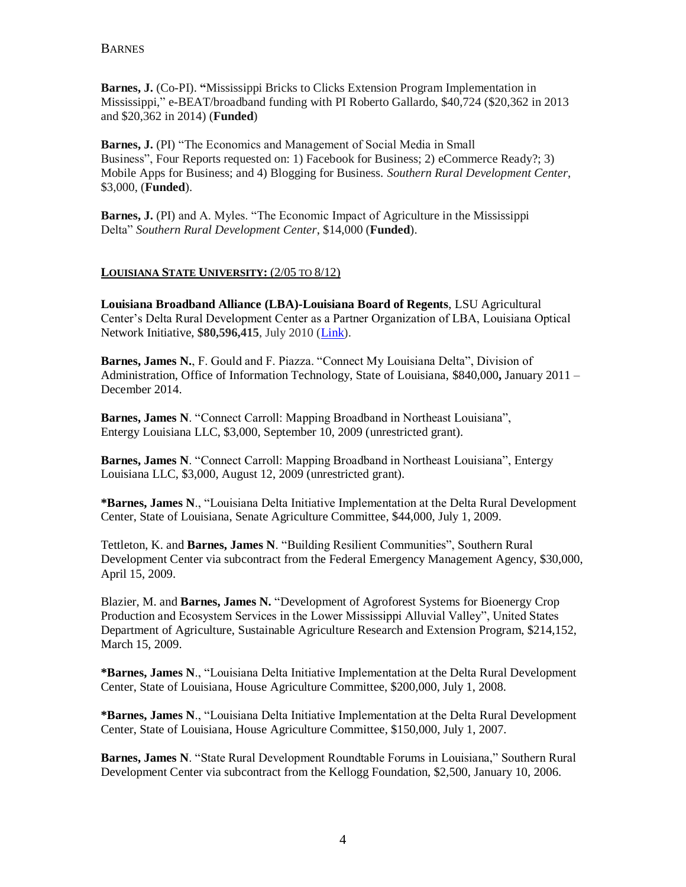BARNES

**Barnes, J.** (Co-PI). **"**Mississippi Bricks to Clicks Extension Program Implementation in Mississippi," e-BEAT/broadband funding with PI Roberto Gallardo, \$40,724 (\$20,362 in 2013 and \$20,362 in 2014) (**Funded**)

**Barnes, J.** (PI) "The Economics and Management of Social Media in Small Business", Four Reports requested on: 1) Facebook for Business; 2) eCommerce Ready?; 3) Mobile Apps for Business; and 4) Blogging for Business. *Southern Rural Development Center*, \$3,000, (**Funded**).

**Barnes, J.** (PI) and A. Myles. "The Economic Impact of Agriculture in the Mississippi Delta" *Southern Rural Development Center*, \$14,000 (**Funded**).

#### **LOUISIANA STATE UNIVERSITY:** (2/05 TO 8/12)

**[Louisiana Broadband Alliance](http://www2.ntia.doc.gov/grantees/LouisianaBroadbandAlliance) (LBA)-Louisiana Board of Regents**, LSU Agricultural Center's Delta Rural Development Center as a Partner Organization of LBA, Louisiana Optical Network Initiative, **\$80,596,415**, July 2010 [\(Link\)](mailto:http://www2.ntia.doc.gov/grantees/LouisianaBroadbandAlliance).

**Barnes, James N.**, F. Gould and F. Piazza. "Connect My Louisiana Delta", Division of Administration, Office of Information Technology, State of Louisiana, \$840,000**,** January 2011 – December 2014.

**Barnes, James N**. "Connect Carroll: Mapping Broadband in Northeast Louisiana", Entergy Louisiana LLC, \$3,000, September 10, 2009 (unrestricted grant).

**Barnes, James N**. "Connect Carroll: Mapping Broadband in Northeast Louisiana", Entergy Louisiana LLC, \$3,000, August 12, 2009 (unrestricted grant).

**\*Barnes, James N**., "Louisiana Delta Initiative Implementation at the Delta Rural Development Center, State of Louisiana, Senate Agriculture Committee, \$44,000, July 1, 2009.

Tettleton, K. and **Barnes, James N**. "Building Resilient Communities", Southern Rural Development Center via subcontract from the Federal Emergency Management Agency, \$30,000, April 15, 2009.

Blazier, M. and **Barnes, James N.** "Development of Agroforest Systems for Bioenergy Crop Production and Ecosystem Services in the Lower Mississippi Alluvial Valley", United States Department of Agriculture, Sustainable Agriculture Research and Extension Program, \$214,152, March 15, 2009.

**\*Barnes, James N**., "Louisiana Delta Initiative Implementation at the Delta Rural Development Center, State of Louisiana, House Agriculture Committee, \$200,000, July 1, 2008.

**\*Barnes, James N**., "Louisiana Delta Initiative Implementation at the Delta Rural Development Center, State of Louisiana, House Agriculture Committee, \$150,000, July 1, 2007.

**Barnes, James N**. "State Rural Development Roundtable Forums in Louisiana," Southern Rural Development Center via subcontract from the Kellogg Foundation, \$2,500, January 10, 2006.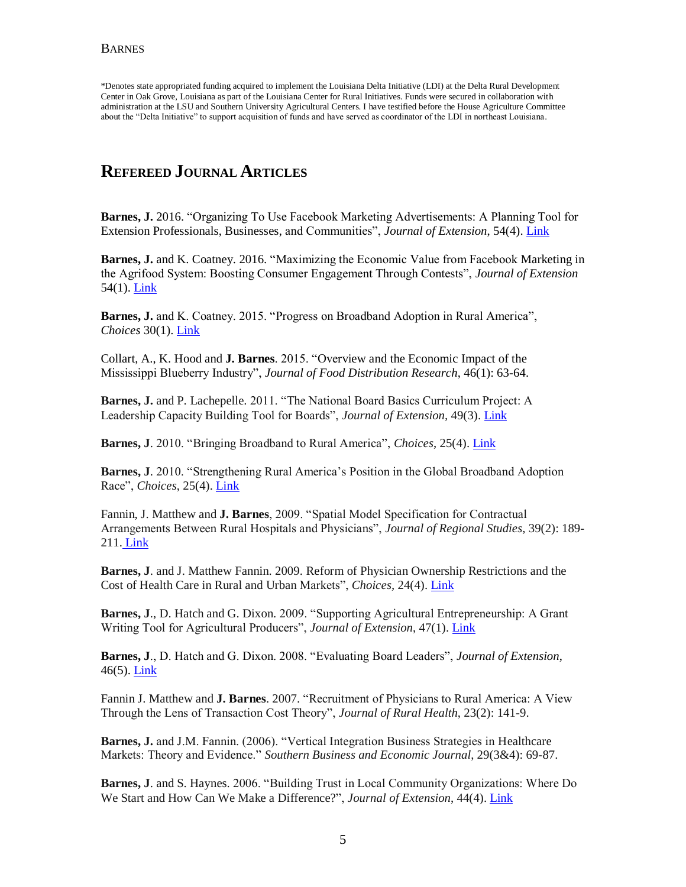\*Denotes state appropriated funding acquired to implement the Louisiana Delta Initiative (LDI) at the Delta Rural Development Center in Oak Grove, Louisiana as part of the Louisiana Center for Rural Initiatives. Funds were secured in collaboration with administration at the LSU and Southern University Agricultural Centers. I have testified before the House Agriculture Committee about the "Delta Initiative" to support acquisition of funds and have served as coordinator of the LDI in northeast Louisiana.

# **REFEREED JOURNAL ARTICLES**

**Barnes, J.** 2016. "Organizing To Use Facebook Marketing Advertisements: A Planning Tool for Extension Professionals, Businesses, and Communities", *Journal of Extension*, 54(4)[. Link](https://www.joe.org/joe/2016august/tt7.php)

**Barnes, J.** and K. Coatney. 2016. "Maximizing the Economic Value from Facebook Marketing in the Agrifood System: Boosting Consumer Engagement Through Contests", *Journal of Extension* 54(1). [Link](http://www.msbrickstoclicks.com/files/Forthcoming_Maximizing%20the%20Economic%20Value%20from%20Facebook%20Marketing%20in%20the%20AgriFood%20System.pdf)

**Barnes, J.** and K. Coatney. 2015. "Progress on Broadband Adoption in Rural America", *Choices* 30(1)[. Link](mailto:http://www.choicesmagazine.org/magazine/pdf/cmsarticle_405.pdf)

Collart, A., K. Hood and **J. Barnes**. 2015. "Overview and the Economic Impact of the Mississippi Blueberry Industry", *Journal of Food Distribution Research*, 46(1): 63-64.

**Barnes, J.** and P. Lachepelle. 2011. "The National Board Basics Curriculum Project: A Leadership Capacity Building Tool for Boards", *Journal of Extension,* 49(3). [Link](mailto:http://www.joe.org/joe/2011june/tt4.php)

**Barnes, J**. 2010. "Bringing Broadband to Rural America", *Choices*, 25(4). [Link](mailto:http://www.choicesmagazine.org/magazine/article.php%3Farticle=155)

**Barnes, J**. 2010. "Strengthening Rural America's Position in the Global Broadband Adoption Race", *Choices*, 25(4)[. Link](mailto:http://www.choicesmagazine.org/magazine/article.php%3Farticle=158)

Fannin, J. Matthew and **J. Barnes**, 2009. "Spatial Model Specification for Contractual Arrangements Between Rural Hospitals and Physicians", *Journal of Regional Studies,* 39(2): 189- 211. [Link](mailto:http://journal.srsa.org/ojs/index.php/RRS/article/viewFile/194/149)

**Barnes, J**. and J. Matthew Fannin. 2009. Reform of Physician Ownership Restrictions and the Cost of Health Care in Rural and Urban Markets", *Choices,* 24(4). [Link](mailto:http://www.choicesmagazine.org/magazine/article.php%3Farticle=104)

**Barnes, J**., D. Hatch and G. Dixon. 2009. "Supporting Agricultural Entrepreneurship: A Grant Writing Tool for Agricultural Producers", *Journal of Extension*, 47(1). [Link](mailto:http://www.joe.org/joe/2009february/tt4.php)

**Barnes, J**., D. Hatch and G. Dixon. 2008. "Evaluating Board Leaders", *Journal of Extension*, 46(5). [Link](mailto:http://www.joe.org/joe/2008october/tt2.php)

Fannin J. Matthew and **J. Barnes**. 2007. "Recruitment of Physicians to Rural America: A View Through the Lens of Transaction Cost Theory", *Journal of Rural Health*, 23(2): 141-9.

**Barnes, J.** and J.M. Fannin. (2006). "Vertical Integration Business Strategies in Healthcare Markets: Theory and Evidence." *Southern Business and Economic Journal*, 29(3&4): 69-87.

**Barnes, J**. and S. Haynes. 2006. "Building Trust in Local Community Organizations: Where Do We Start and How Can We Make a Difference?", *Journal of Extension*, 44(4). [Link](mailto:http://www.joe.org/joe/2006august/tt6.php)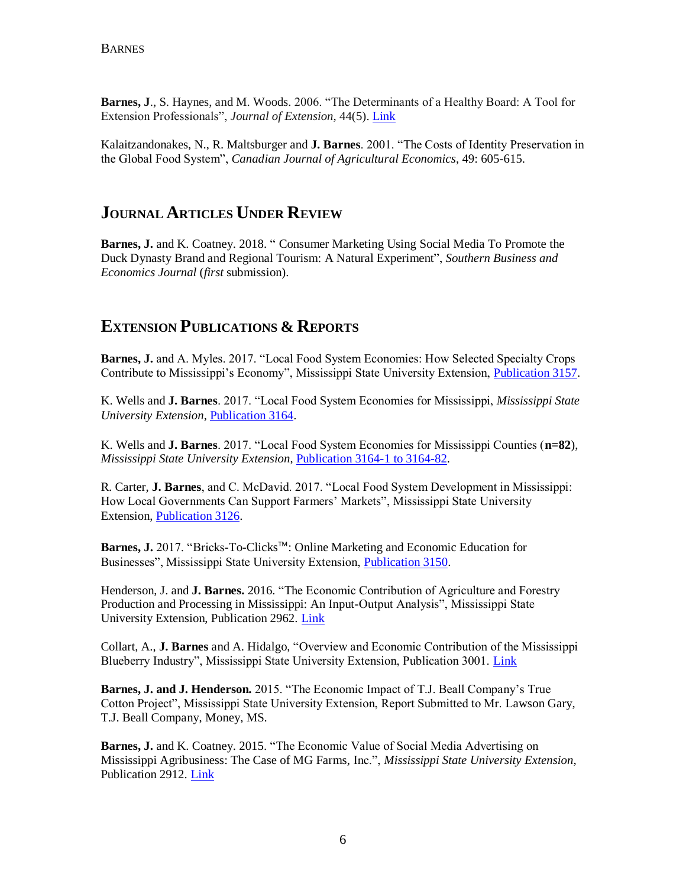**Barnes, J**., S. Haynes, and M. Woods. 2006. "The Determinants of a Healthy Board: A Tool for Extension Professionals", *Journal of Extension*, 44(5). [Link](mailto:http://www.joe.org/joe/2006october/tt1.php)

Kalaitzandonakes, N., R. Maltsburger and **J. Barnes**. 2001. "The Costs of Identity Preservation in the Global Food System", *Canadian Journal of Agricultural Economics*, 49: 605-615.

## **JOURNAL ARTICLES UNDER REVIEW**

**Barnes, J.** and K. Coatney. 2018. " Consumer Marketing Using Social Media To Promote the Duck Dynasty Brand and Regional Tourism: A Natural Experiment", *Southern Business and Economics Journal* (*first* submission).

# **EXTENSION PUBLICATIONS & REPORTS**

**Barnes, J.** and A. Myles. 2017. "Local Food System Economies: How Selected Specialty Crops Contribute to Mississippi's Economy", Mississippi State University Extension, [Publication 3157.](http://extension.msstate.edu/publications/publications/local-food-system-economies-how-selected-specialty-crops-contribute)

K. Wells and **J. Barnes**. 2017. "Local Food System Economies for Mississippi, *Mississippi State University Extension*, [Publication 3164.](http://brickstoclicks.extension.msstate.edu/projects) 

K. Wells and **J. Barnes**. 2017. "Local Food System Economies for Mississippi Counties (**n=82**), *Mississippi State University Extension*, [Publication 3164-1 to 3164-82.](http://brickstoclicks.extension.msstate.edu/projects)

R. Carter, **J. Barnes**, and C. McDavid. 2017. "Local Food System Development in Mississippi: How Local Governments Can Support Farmers' Markets", Mississippi State University Extension, [Publication 3126.](http://extension.msstate.edu/publications/publications/local-food-system-development-mississippi-how-local-governments-can) 

**Barnes, J.** 2017. "Bricks-To-Clicks™: Online Marketing and Economic Education for Businesses", Mississippi State University Extension, [Publication 3150.](http://extension.msstate.edu/publications/publications/bricks-clicks%E2%84%A2-online-marketing-and-economic-education-for-businesses)

Henderson, J. and **J. Barnes.** 2016. "The Economic Contribution of Agriculture and Forestry Production and Processing in Mississippi: An Input-Output Analysis", Mississippi State University Extension, Publication 2962. [Link](http://extension.msstate.edu/sites/default/files/publications/publications/p2962.pdf)

Collart, A., **J. Barnes** and A. Hidalgo, "Overview and Economic Contribution of the Mississippi Blueberry Industry", Mississippi State University Extension, Publication 3001. [Link](http://extension.msstate.edu/sites/default/files/publications/publications/P3001.pdf)

**Barnes, J. and J. Henderson.** 2015. "The Economic Impact of T.J. Beall Company's True Cotton Project", Mississippi State University Extension, Report Submitted to Mr. Lawson Gary, T.J. Beall Company, Money, MS.

**Barnes, J.** and K. Coatney. 2015. "The Economic Value of Social Media Advertising on Mississippi Agribusiness: The Case of MG Farms, Inc.", *Mississippi State University Extension*, Publication 2912. [Link](http://msucares.com/pubs/publications/p2912.pdf)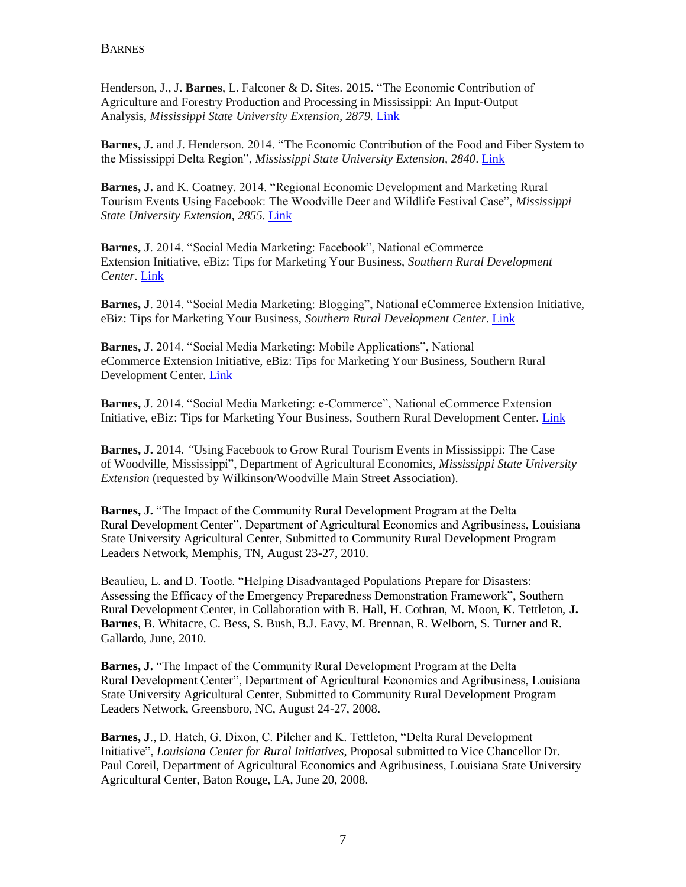Henderson, J., J. **Barnes**, L. Falconer & D. Sites. 2015. "The Economic Contribution of Agriculture and Forestry Production and Processing in Mississippi: An Input-Output Analysis, *Mississippi State University Extension, 2879.* [Link](mailto:http://msucares.com/pubs/publications/p2879.pdf)

**Barnes, J.** and J. Henderson. 2014. "The Economic Contribution of the Food and Fiber System to the Mississippi Delta Region", *Mississippi State University Extension, 2840*. [Link](mailto:http://msucares.com/pubs/publications/p2840.pdf)

**Barnes, J.** and K. Coatney. 2014. "Regional Economic Development and Marketing Rural Tourism Events Using Facebook: The Woodville Deer and Wildlife Festival Case", *Mississippi State University Extension, 2855.* [Link](mailto:http://msucares.com/pubs/publications/p2855.pdf)

**Barnes, J**. 2014. "Social Media Marketing: Facebook", National eCommerce Extension Initiative, eBiz: Tips for Marketing Your Business, *Southern Rural Development Center*. [Link](mailto:http://srdc.msstate.edu/ecommerce/ebiz/files/msu_ebiz_facebook.pdf)

**Barnes, J**. 2014. "Social Media Marketing: Blogging", National eCommerce Extension Initiative, eBiz: Tips for Marketing Your Business, *Southern Rural Development Center*. [Link](mailto:http://srdc.msstate.edu/ecommerce/ebiz/files/msu_ebiz_blogging.pdf)

**Barnes, J**. 2014. "Social Media Marketing: Mobile Applications", National eCommerce Extension Initiative, eBiz: Tips for Marketing Your Business, Southern Rural Development Center. [Link](mailto:http://srdc.msstate.edu/ecommerce/ebiz/files/msu_ebiz_mobile_apps.pdf)

**Barnes, J**. 2014. "Social Media Marketing: e-Commerce", National eCommerce Extension Initiative, eBiz: Tips for Marketing Your Business, Southern Rural Development Center. [Link](mailto:http://srdc.msstate.edu/ecommerce/ebiz/files/msu_ebiz_ecommerce_checklist.pdf)

**Barnes, J.** 2014. *"*Using Facebook to Grow Rural Tourism Events in Mississippi: The Case of Woodville, Mississippi", Department of Agricultural Economics, *Mississippi State University Extension* (requested by Wilkinson/Woodville Main Street Association).

**Barnes, J.** "The Impact of the Community Rural Development Program at the Delta Rural Development Center", Department of Agricultural Economics and Agribusiness, Louisiana State University Agricultural Center, Submitted to Community Rural Development Program Leaders Network, Memphis, TN, August 23-27, 2010.

Beaulieu, L. and D. Tootle. "Helping Disadvantaged Populations Prepare for Disasters: Assessing the Efficacy of the Emergency Preparedness Demonstration Framework", Southern Rural Development Center, in Collaboration with B. Hall, H. Cothran, M. Moon, K. Tettleton, **J. Barnes**, B. Whitacre, C. Bess, S. Bush, B.J. Eavy, M. Brennan, R. Welborn, S. Turner and R. Gallardo, June, 2010.

**Barnes, J.** "The Impact of the Community Rural Development Program at the Delta Rural Development Center", Department of Agricultural Economics and Agribusiness, Louisiana State University Agricultural Center, Submitted to Community Rural Development Program Leaders Network, Greensboro, NC, August 24-27, 2008.

**Barnes, J**., D. Hatch, G. Dixon, C. Pilcher and K. Tettleton, "Delta Rural Development Initiative", *Louisiana Center for Rural Initiatives*, Proposal submitted to Vice Chancellor Dr. Paul Coreil, Department of Agricultural Economics and Agribusiness, Louisiana State University Agricultural Center, Baton Rouge, LA, June 20, 2008.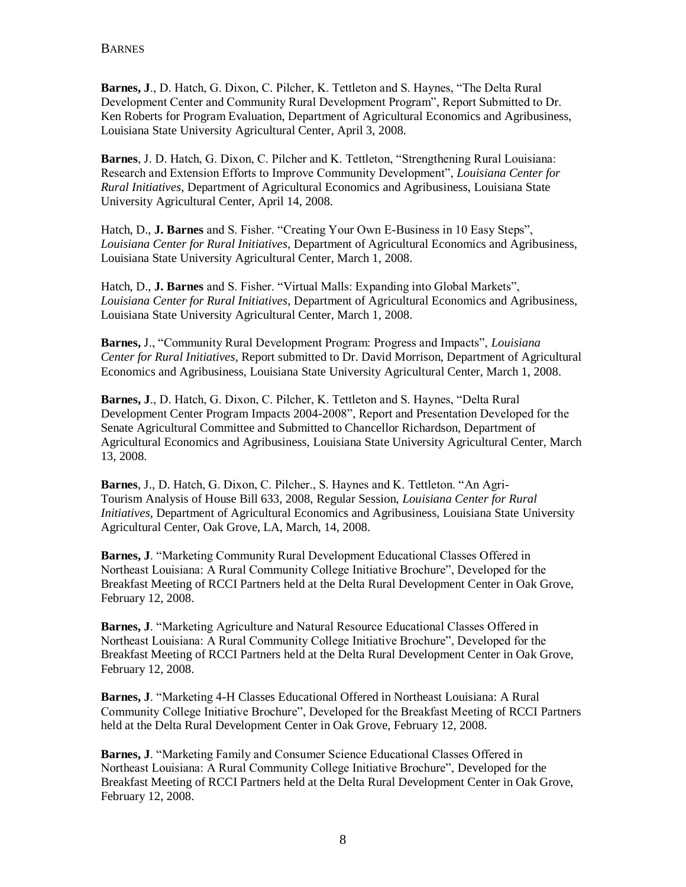**Barnes, J**., D. Hatch, G. Dixon, C. Pilcher, K. Tettleton and S. Haynes, "The Delta Rural Development Center and Community Rural Development Program", Report Submitted to Dr. Ken Roberts for Program Evaluation, Department of Agricultural Economics and Agribusiness, Louisiana State University Agricultural Center, April 3, 2008.

**Barnes**, J. D. Hatch, G. Dixon, C. Pilcher and K. Tettleton, "Strengthening Rural Louisiana: Research and Extension Efforts to Improve Community Development", *Louisiana Center for Rural Initiatives*, Department of Agricultural Economics and Agribusiness, Louisiana State University Agricultural Center, April 14, 2008.

Hatch, D., **J. Barnes** and S. Fisher. "Creating Your Own E-Business in 10 Easy Steps", *Louisiana Center for Rural Initiatives*, Department of Agricultural Economics and Agribusiness, Louisiana State University Agricultural Center, March 1, 2008.

Hatch, D., **J. Barnes** and S. Fisher. "Virtual Malls: Expanding into Global Markets", *Louisiana Center for Rural Initiatives*, Department of Agricultural Economics and Agribusiness, Louisiana State University Agricultural Center, March 1, 2008.

**Barnes,** J., "Community Rural Development Program: Progress and Impacts", *Louisiana Center for Rural Initiatives,* Report submitted to Dr. David Morrison, Department of Agricultural Economics and Agribusiness, Louisiana State University Agricultural Center, March 1, 2008.

**Barnes, J**., D. Hatch, G. Dixon, C. Pilcher, K. Tettleton and S. Haynes, "Delta Rural Development Center Program Impacts 2004-2008", Report and Presentation Developed for the Senate Agricultural Committee and Submitted to Chancellor Richardson, Department of Agricultural Economics and Agribusiness, Louisiana State University Agricultural Center, March 13, 2008.

**Barnes**, J., D. Hatch, G. Dixon, C. Pilcher., S. Haynes and K. Tettleton. "An Agri-Tourism Analysis of House Bill 633, 2008, Regular Session, *Louisiana Center for Rural Initiatives*, Department of Agricultural Economics and Agribusiness, Louisiana State University Agricultural Center, Oak Grove, LA, March, 14, 2008.

**Barnes, J**. "Marketing Community Rural Development Educational Classes Offered in Northeast Louisiana: A Rural Community College Initiative Brochure", Developed for the Breakfast Meeting of RCCI Partners held at the Delta Rural Development Center in Oak Grove, February 12, 2008.

**Barnes, J**. "Marketing Agriculture and Natural Resource Educational Classes Offered in Northeast Louisiana: A Rural Community College Initiative Brochure", Developed for the Breakfast Meeting of RCCI Partners held at the Delta Rural Development Center in Oak Grove, February 12, 2008.

**Barnes, J**. "Marketing 4-H Classes Educational Offered in Northeast Louisiana: A Rural Community College Initiative Brochure", Developed for the Breakfast Meeting of RCCI Partners held at the Delta Rural Development Center in Oak Grove, February 12, 2008.

**Barnes, J**. "Marketing Family and Consumer Science Educational Classes Offered in Northeast Louisiana: A Rural Community College Initiative Brochure", Developed for the Breakfast Meeting of RCCI Partners held at the Delta Rural Development Center in Oak Grove, February 12, 2008.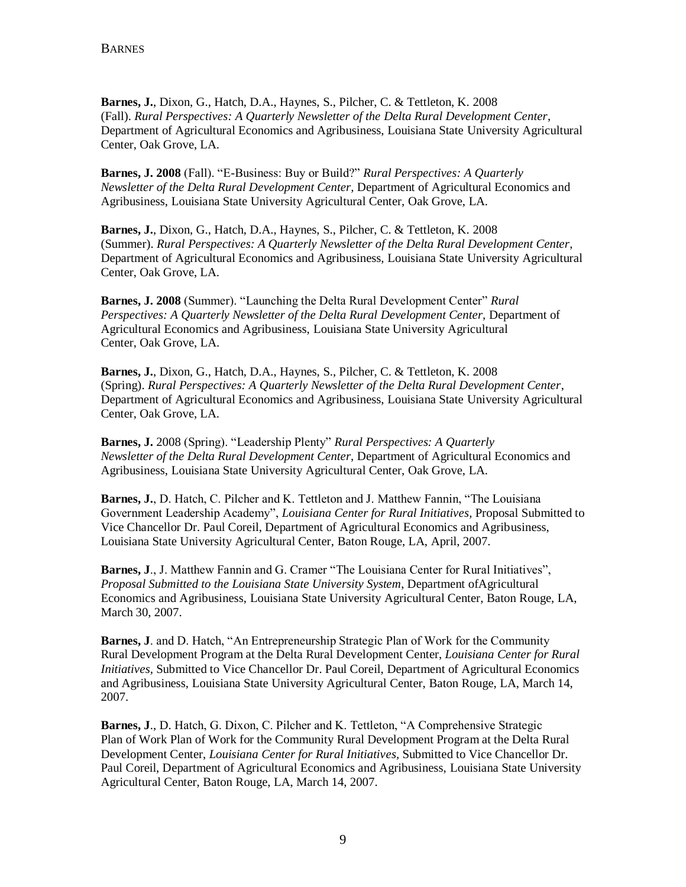**Barnes, J.**, Dixon, G., Hatch, D.A., Haynes, S., Pilcher, C. & Tettleton, K. 2008 (Fall). *Rural Perspectives: A Quarterly Newsletter of the Delta Rural Development Center*, Department of Agricultural Economics and Agribusiness, Louisiana State University Agricultural Center, Oak Grove, LA.

**Barnes, J. 2008** (Fall). "E-Business: Buy or Build?" *Rural Perspectives: A Quarterly Newsletter of the Delta Rural Development Center,* Department of Agricultural Economics and Agribusiness, Louisiana State University Agricultural Center, Oak Grove, LA.

**Barnes, J.**, Dixon, G., Hatch, D.A., Haynes, S., Pilcher, C. & Tettleton, K. 2008 (Summer). *Rural Perspectives: A Quarterly Newsletter of the Delta Rural Development Center*, Department of Agricultural Economics and Agribusiness, Louisiana State University Agricultural Center, Oak Grove, LA.

**Barnes, J. 2008** (Summer). "Launching the Delta Rural Development Center" *Rural Perspectives: A Quarterly Newsletter of the Delta Rural Development Center,* Department of Agricultural Economics and Agribusiness, Louisiana State University Agricultural Center, Oak Grove, LA.

**Barnes, J.**, Dixon, G., Hatch, D.A., Haynes, S., Pilcher, C. & Tettleton, K. 2008 (Spring). *Rural Perspectives: A Quarterly Newsletter of the Delta Rural Development Center*, Department of Agricultural Economics and Agribusiness, Louisiana State University Agricultural Center, Oak Grove, LA.

**Barnes, J.** 2008 (Spring). "Leadership Plenty" *Rural Perspectives: A Quarterly Newsletter of the Delta Rural Development Center,* Department of Agricultural Economics and Agribusiness, Louisiana State University Agricultural Center, Oak Grove, LA.

**Barnes, J.**, D. Hatch, C. Pilcher and K. Tettleton and J. Matthew Fannin, "The Louisiana Government Leadership Academy", *Louisiana Center for Rural Initiatives,* Proposal Submitted to Vice Chancellor Dr. Paul Coreil, Department of Agricultural Economics and Agribusiness, Louisiana State University Agricultural Center, Baton Rouge, LA, April, 2007.

**Barnes, J**., J. Matthew Fannin and G. Cramer "The Louisiana Center for Rural Initiatives", *Proposal Submitted to the Louisiana State University System*, Department ofAgricultural Economics and Agribusiness, Louisiana State University Agricultural Center, Baton Rouge, LA, March 30, 2007.

**Barnes, J**. and D. Hatch, "An Entrepreneurship Strategic Plan of Work for the Community Rural Development Program at the Delta Rural Development Center, *Louisiana Center for Rural Initiatives,* Submitted to Vice Chancellor Dr. Paul Coreil, Department of Agricultural Economics and Agribusiness, Louisiana State University Agricultural Center, Baton Rouge, LA, March 14, 2007.

**Barnes, J**., D. Hatch, G. Dixon, C. Pilcher and K. Tettleton, "A Comprehensive Strategic Plan of Work Plan of Work for the Community Rural Development Program at the Delta Rural Development Center, *Louisiana Center for Rural Initiatives,* Submitted to Vice Chancellor Dr. Paul Coreil, Department of Agricultural Economics and Agribusiness, Louisiana State University Agricultural Center, Baton Rouge, LA, March 14, 2007.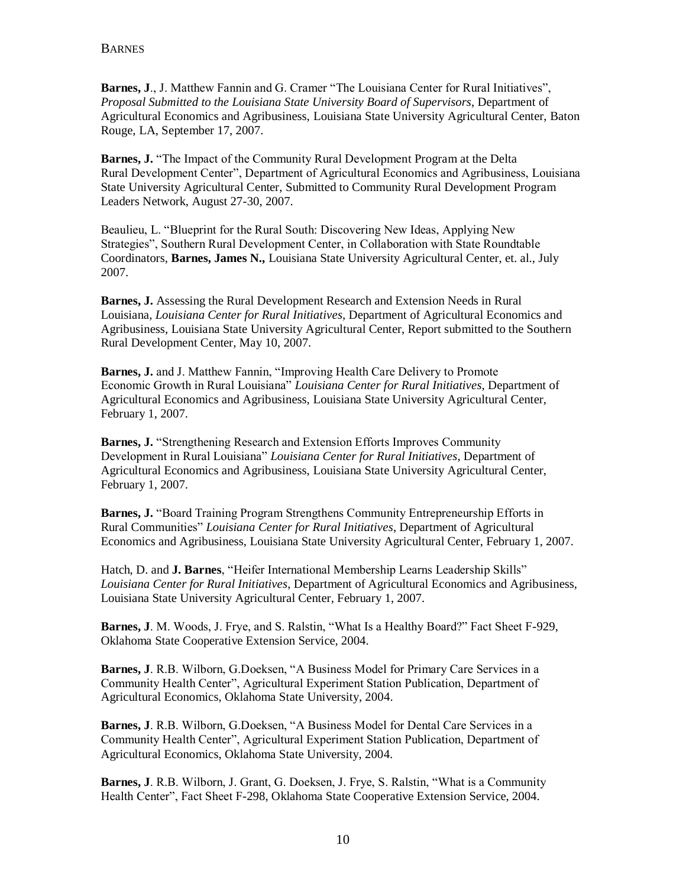**Barnes, J**., J. Matthew Fannin and G. Cramer "The Louisiana Center for Rural Initiatives", *Proposal Submitted to the Louisiana State University Board of Supervisors*, Department of Agricultural Economics and Agribusiness, Louisiana State University Agricultural Center, Baton Rouge, LA, September 17, 2007.

**Barnes, J.** "The Impact of the Community Rural Development Program at the Delta Rural Development Center", Department of Agricultural Economics and Agribusiness, Louisiana State University Agricultural Center, Submitted to Community Rural Development Program Leaders Network, August 27-30, 2007.

Beaulieu, L. "Blueprint for the Rural South: Discovering New Ideas, Applying New Strategies", Southern Rural Development Center, in Collaboration with State Roundtable Coordinators, **Barnes, James N.,** Louisiana State University Agricultural Center, et. al., July 2007.

**Barnes, J.** Assessing the Rural Development Research and Extension Needs in Rural Louisiana, *Louisiana Center for Rural Initiatives,* Department of Agricultural Economics and Agribusiness, Louisiana State University Agricultural Center, Report submitted to the Southern Rural Development Center, May 10, 2007.

**Barnes, J.** and J. Matthew Fannin, "Improving Health Care Delivery to Promote Economic Growth in Rural Louisiana" *Louisiana Center for Rural Initiatives*, Department of Agricultural Economics and Agribusiness, Louisiana State University Agricultural Center, February 1, 2007.

**Barnes, J.** "Strengthening Research and Extension Efforts Improves Community Development in Rural Louisiana" *Louisiana Center for Rural Initiatives*, Department of Agricultural Economics and Agribusiness, Louisiana State University Agricultural Center, February 1, 2007.

**Barnes, J.** "Board Training Program Strengthens Community Entrepreneurship Efforts in Rural Communities" *Louisiana Center for Rural Initiatives*, Department of Agricultural Economics and Agribusiness, Louisiana State University Agricultural Center, February 1, 2007.

Hatch, D. and **J. Barnes**, "Heifer International Membership Learns Leadership Skills" *Louisiana Center for Rural Initiatives*, Department of Agricultural Economics and Agribusiness, Louisiana State University Agricultural Center, February 1, 2007.

**Barnes, J**. M. Woods, J. Frye, and S. Ralstin, "What Is a Healthy Board?" Fact Sheet F-929, Oklahoma State Cooperative Extension Service, 2004.

**Barnes, J**. R.B. Wilborn, G.Doeksen, "A Business Model for Primary Care Services in a Community Health Center", Agricultural Experiment Station Publication, Department of Agricultural Economics, Oklahoma State University, 2004.

**Barnes, J**. R.B. Wilborn, G.Doeksen, "A Business Model for Dental Care Services in a Community Health Center", Agricultural Experiment Station Publication, Department of Agricultural Economics, Oklahoma State University, 2004.

**Barnes, J**. R.B. Wilborn, J. Grant, G. Doeksen, J. Frye, S. Ralstin, "What is a Community Health Center", Fact Sheet F-298, Oklahoma State Cooperative Extension Service, 2004.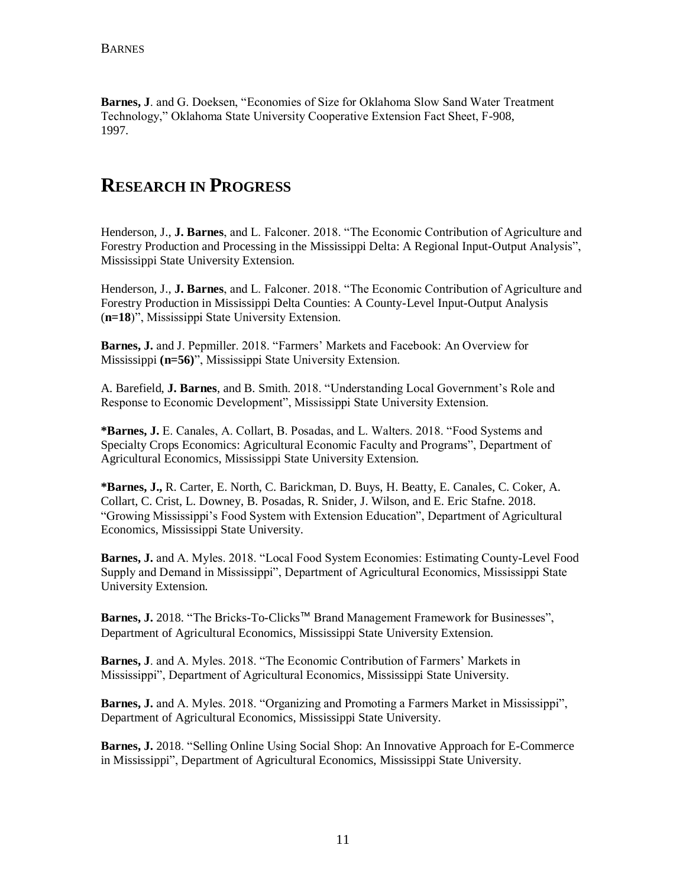**Barnes, J**. and G. Doeksen, "Economies of Size for Oklahoma Slow Sand Water Treatment Technology," Oklahoma State University Cooperative Extension Fact Sheet, F-908, 1997.

# **RESEARCH IN PROGRESS**

Henderson, J., **J. Barnes**, and L. Falconer. 2018. "The Economic Contribution of Agriculture and Forestry Production and Processing in the Mississippi Delta: A Regional Input-Output Analysis", Mississippi State University Extension.

Henderson, J., **J. Barnes**, and L. Falconer. 2018. "The Economic Contribution of Agriculture and Forestry Production in Mississippi Delta Counties: A County-Level Input-Output Analysis (**n=18**)", Mississippi State University Extension.

**Barnes, J.** and J. Pepmiller. 2018. "Farmers' Markets and Facebook: An Overview for Mississippi **(n=56)**", Mississippi State University Extension.

A. Barefield, **J. Barnes**, and B. Smith. 2018. "Understanding Local Government's Role and Response to Economic Development", Mississippi State University Extension.

**\*Barnes, J.** E. Canales, A. Collart, B. Posadas, and L. Walters. 2018. "Food Systems and Specialty Crops Economics: Agricultural Economic Faculty and Programs", Department of Agricultural Economics, Mississippi State University Extension.

**\*Barnes, J.,** R. Carter, E. North, C. Barickman, D. Buys, H. Beatty, E. Canales, C. Coker, A. Collart, C. Crist, L. Downey, B. Posadas, R. Snider, J. Wilson, and E. Eric Stafne. 2018. "Growing Mississippi's Food System with Extension Education", Department of Agricultural Economics, Mississippi State University.

**Barnes, J.** and A. Myles. 2018. "Local Food System Economies: Estimating County-Level Food Supply and Demand in Mississippi", Department of Agricultural Economics, Mississippi State University Extension.

Barnes, J. 2018. "The Bricks-To-Clicks™ Brand Management Framework for Businesses", Department of Agricultural Economics, Mississippi State University Extension.

**Barnes, J**. and A. Myles. 2018. "The Economic Contribution of Farmers' Markets in Mississippi", Department of Agricultural Economics, Mississippi State University.

**Barnes, J.** and A. Myles. 2018. "Organizing and Promoting a Farmers Market in Mississippi", Department of Agricultural Economics, Mississippi State University.

**Barnes, J.** 2018. "Selling Online Using Social Shop: An Innovative Approach for E-Commerce in Mississippi", Department of Agricultural Economics, Mississippi State University.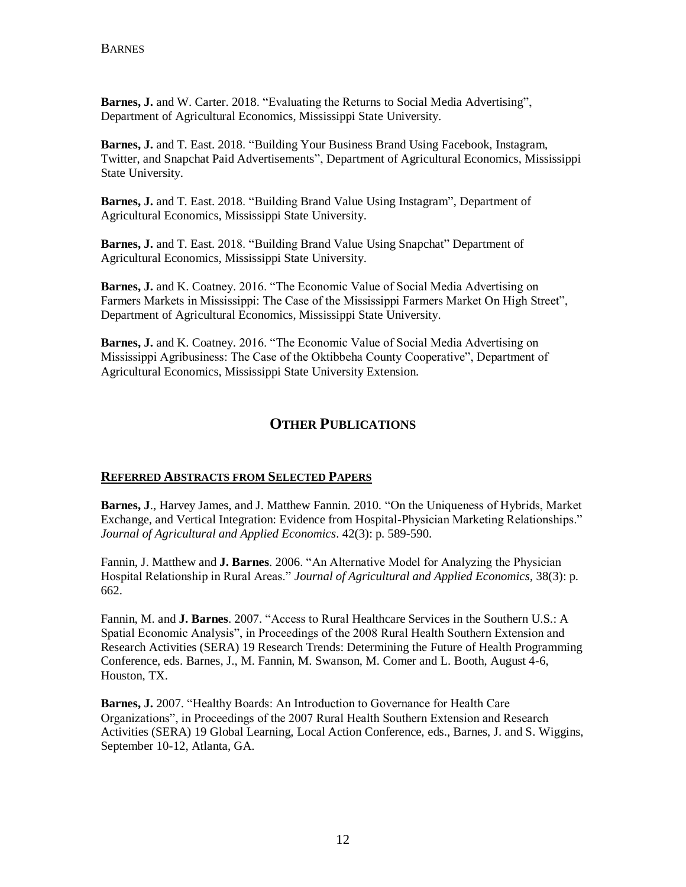**Barnes, J.** and W. Carter. 2018. "Evaluating the Returns to Social Media Advertising", Department of Agricultural Economics, Mississippi State University.

**Barnes, J.** and T. East. 2018. "Building Your Business Brand Using Facebook, Instagram, Twitter, and Snapchat Paid Advertisements", Department of Agricultural Economics, Mississippi State University.

**Barnes, J.** and T. East. 2018. "Building Brand Value Using Instagram", Department of Agricultural Economics, Mississippi State University.

**Barnes, J.** and T. East. 2018. "Building Brand Value Using Snapchat" Department of Agricultural Economics, Mississippi State University.

**Barnes, J.** and K. Coatney. 2016. "The Economic Value of Social Media Advertising on Farmers Markets in Mississippi: The Case of the Mississippi Farmers Market On High Street", Department of Agricultural Economics, Mississippi State University.

**Barnes, J.** and K. Coatney. 2016. "The Economic Value of Social Media Advertising on Mississippi Agribusiness: The Case of the Oktibbeha County Cooperative", Department of Agricultural Economics, Mississippi State University Extension.

## **OTHER PUBLICATIONS**

#### **REFERRED ABSTRACTS FROM SELECTED PAPERS**

**Barnes, J**., Harvey James, and J. Matthew Fannin. 2010. "On the Uniqueness of Hybrids, Market Exchange, and Vertical Integration: Evidence from Hospital-Physician Marketing Relationships." *Journal of Agricultural and Applied Economics*. 42(3): p. 589-590.

Fannin, J. Matthew and **J. Barnes**. 2006. "An Alternative Model for Analyzing the Physician Hospital Relationship in Rural Areas." *Journal of Agricultural and Applied Economics*, 38(3): p. 662.

Fannin, M. and **J. Barnes**. 2007. "Access to Rural Healthcare Services in the Southern U.S.: A Spatial Economic Analysis", in Proceedings of the 2008 Rural Health Southern Extension and Research Activities (SERA) 19 Research Trends: Determining the Future of Health Programming Conference, eds. Barnes, J., M. Fannin, M. Swanson, M. Comer and L. Booth, August 4-6, Houston, TX.

**Barnes, J.** 2007. "Healthy Boards: An Introduction to Governance for Health Care Organizations", in Proceedings of the 2007 Rural Health Southern Extension and Research Activities (SERA) 19 Global Learning, Local Action Conference, eds., Barnes, J. and S. Wiggins, September 10-12, Atlanta, GA.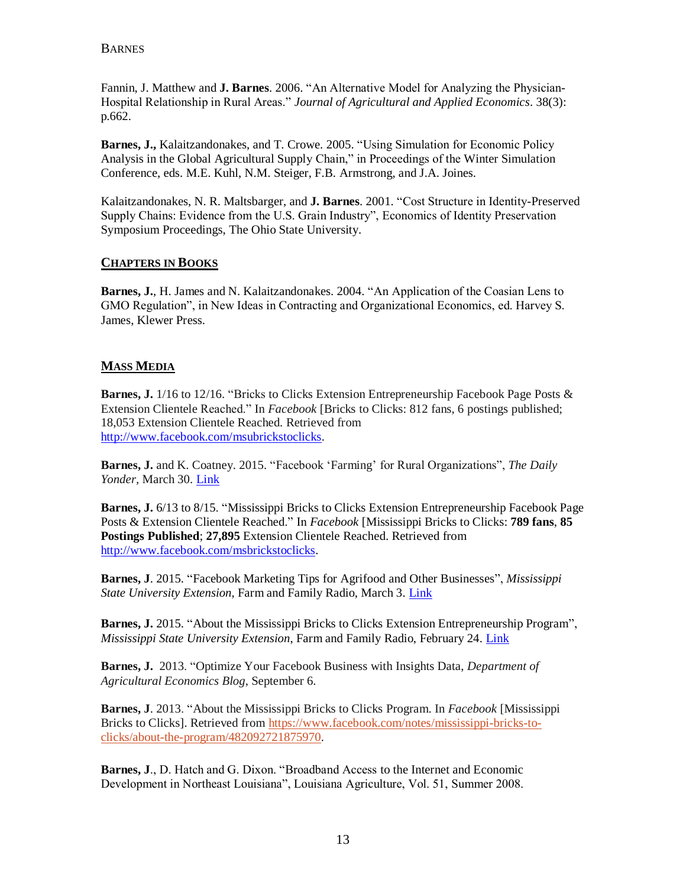Fannin, J. Matthew and **J. Barnes**. 2006. "An Alternative Model for Analyzing the Physician-Hospital Relationship in Rural Areas." *Journal of Agricultural and Applied Economics*. 38(3): p.662.

**Barnes, J.,** Kalaitzandonakes, and T. Crowe. 2005. "Using Simulation for Economic Policy Analysis in the Global Agricultural Supply Chain," in Proceedings of the Winter Simulation Conference, eds. M.E. Kuhl, N.M. Steiger, F.B. Armstrong, and J.A. Joines.

Kalaitzandonakes, N. R. Maltsbarger, and **J. Barnes**. 2001. "Cost Structure in Identity-Preserved Supply Chains: Evidence from the U.S. Grain Industry", Economics of Identity Preservation Symposium Proceedings, The Ohio State University.

### **CHAPTERS IN BOOKS**

**Barnes, J.**, H. James and N. Kalaitzandonakes. 2004. "An Application of the Coasian Lens to GMO Regulation", in New Ideas in Contracting and Organizational Economics, ed. Harvey S. James, Klewer Press.

## **MASS MEDIA**

**Barnes, J.** 1/16 to 12/16. "Bricks to Clicks Extension Entrepreneurship Facebook Page Posts & Extension Clientele Reached." In *Facebook* [Bricks to Clicks: 812 fans, 6 postings published; 18,053 Extension Clientele Reached. Retrieved from [http://www.facebook.com/msubrickstoclicks.](http://www.facebook.com/msubrickstoclicks)

**Barnes, J.** and K. Coatney. 2015. "Facebook 'Farming' for Rural Organizations", *The Daily Yonder,* March 30. [Link](mailto:http://www.dailyyonder.com/facebook-farming-rural-organizations/2015/03/27/7785)

**Barnes, J.** 6/13 to 8/15. "Mississippi Bricks to Clicks Extension Entrepreneurship Facebook Page Posts & Extension Clientele Reached." In *Facebook* [Mississippi Bricks to Clicks: **789 fans**, **85 Postings Published**; **27,895** Extension Clientele Reached. Retrieved from [http://www.facebook.com/msbrickstoclicks.](http://www.facebook.com/msbrickstoclicks)

**Barnes, J**. 2015. "Facebook Marketing Tips for Agrifood and Other Businesses", *Mississippi State University Extension*, Farm and Family Radio, March 3. [Link](mailto:http://msucares.com/news/radio/farmandfamily/audio/15/ff030315.mp3)

**Barnes, J.** 2015. "About the Mississippi Bricks to Clicks Extension Entrepreneurship Program", *Mississippi State University Extension*, Farm and Family Radio, February 24. [Link](mailto:http://msucares.com/news/radio/farmandfamily/audio/15/ff022415.mp3)

**Barnes, J.** 2013. "Optimize Your Facebook Business with Insights Data, *Department of Agricultural Economics Blog*, September 6.

**Barnes, J**. 2013. "About the Mississippi Bricks to Clicks Program. In *Facebook* [Mississippi Bricks to Clicks]. Retrieved from [https://www.facebook.com/notes/mississippi-bricks-to](https://www.facebook.com/notes/mississippi-bricks-to-clicks/about-the-program/482092721875970)[clicks/about-the-program/482092721875970.](https://www.facebook.com/notes/mississippi-bricks-to-clicks/about-the-program/482092721875970)

**Barnes, J**., D. Hatch and G. Dixon. "Broadband Access to the Internet and Economic Development in Northeast Louisiana", Louisiana Agriculture, Vol. 51, Summer 2008.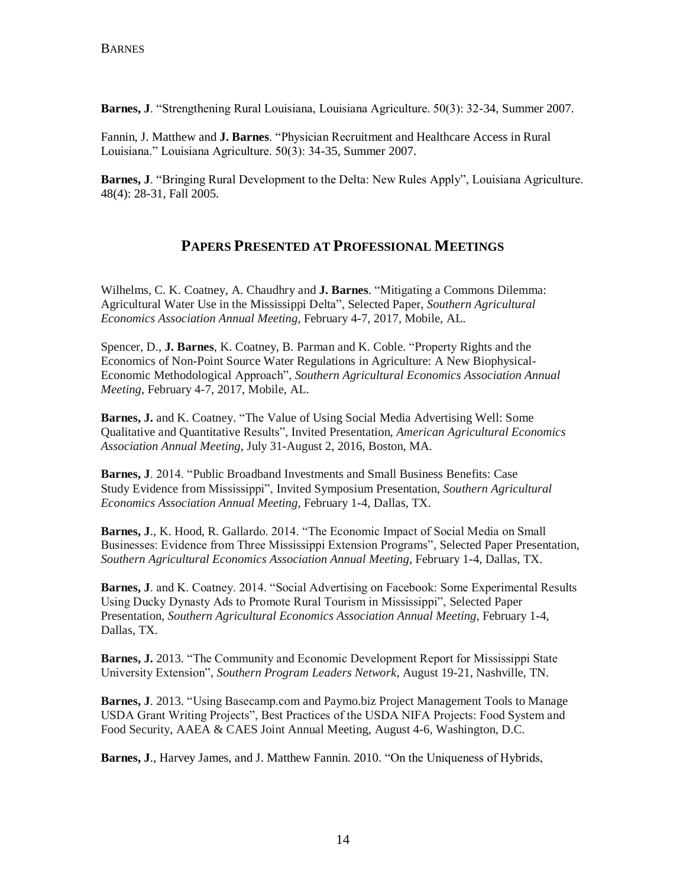**Barnes, J**. "Strengthening Rural Louisiana, Louisiana Agriculture. 50(3): 32-34, Summer 2007.

Fannin, J. Matthew and **J. Barnes**. "Physician Recruitment and Healthcare Access in Rural Louisiana." Louisiana Agriculture. 50(3): 34-35, Summer 2007.

**Barnes, J**. "Bringing Rural Development to the Delta: New Rules Apply", Louisiana Agriculture. 48(4): 28-31, Fall 2005.

## **PAPERS PRESENTED AT PROFESSIONAL MEETINGS**

Wilhelms, C. K. Coatney, A. Chaudhry and **J. Barnes**. "Mitigating a Commons Dilemma: Agricultural Water Use in the Mississippi Delta", Selected Paper, *Southern Agricultural Economics Association Annual Meeting*, February 4-7, 2017, Mobile, AL.

Spencer, D., **J. Barnes**, K. Coatney, B. Parman and K. Coble. "Property Rights and the Economics of Non-Point Source Water Regulations in Agriculture: A New Biophysical-Economic Methodological Approach", *Southern Agricultural Economics Association Annual Meeting*, February 4-7, 2017, Mobile, AL.

**Barnes, J.** and K. Coatney. "The Value of Using Social Media Advertising Well: Some Qualitative and Quantitative Results", Invited Presentation, *American Agricultural Economics Association Annual Meeting*, July 31-August 2, 2016, Boston, MA.

**Barnes, J**. 2014. "Public Broadband Investments and Small Business Benefits: Case Study Evidence from Mississippi", Invited Symposium Presentation, *Southern Agricultural Economics Association Annual Meeting*, February 1-4, Dallas, TX.

**Barnes, J**., K. Hood, R. Gallardo. 2014. "The Economic Impact of Social Media on Small Businesses: Evidence from Three Mississippi Extension Programs", Selected Paper Presentation, *Southern Agricultural Economics Association Annual Meeting*, February 1-4, Dallas, TX.

**Barnes, J**. and K. Coatney. 2014. "Social Advertising on Facebook: Some Experimental Results Using Ducky Dynasty Ads to Promote Rural Tourism in Mississippi", Selected Paper Presentation, *Southern Agricultural Economics Association Annual Meeting*, February 1-4, Dallas, TX.

**Barnes, J.** 2013. "The Community and Economic Development Report for Mississippi State University Extension", *Southern Program Leaders Network*, August 19-21, Nashville, TN.

**Barnes, J**. 2013. "Using Basecamp.com and Paymo.biz Project Management Tools to Manage USDA Grant Writing Projects", Best Practices of the USDA NIFA Projects: Food System and Food Security, AAEA & CAES Joint Annual Meeting, August 4-6, Washington, D.C.

**Barnes, J**., Harvey James, and J. Matthew Fannin. 2010. "On the Uniqueness of Hybrids,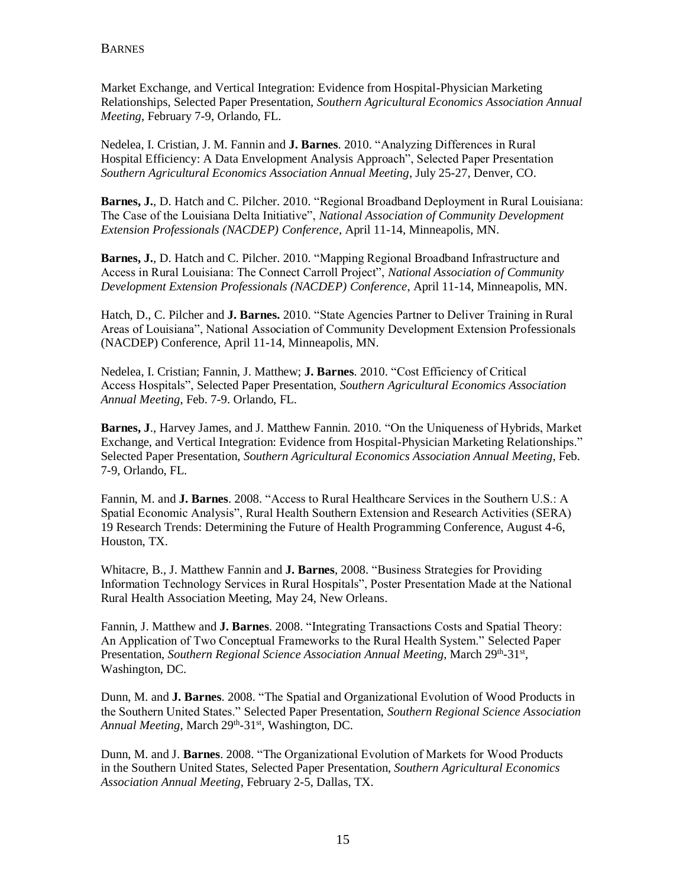Market Exchange, and Vertical Integration: Evidence from Hospital-Physician Marketing Relationships, Selected Paper Presentation, *Southern Agricultural Economics Association Annual Meeting*, February 7-9, Orlando, FL.

Nedelea, I. Cristian, J. M. Fannin and **J. Barnes**. 2010. "Analyzing Differences in Rural Hospital Efficiency: A Data Envelopment Analysis Approach", Selected Paper Presentation *Southern Agricultural Economics Association Annual Meeting*, July 25-27, Denver, CO.

**Barnes, J.**, D. Hatch and C. Pilcher. 2010. "Regional Broadband Deployment in Rural Louisiana: The Case of the Louisiana Delta Initiative", *National Association of Community Development Extension Professionals (NACDEP) Conference*, April 11-14, Minneapolis, MN.

**Barnes, J.**, D. Hatch and C. Pilcher. 2010. "Mapping Regional Broadband Infrastructure and Access in Rural Louisiana: The Connect Carroll Project", *National Association of Community Development Extension Professionals (NACDEP) Conference*, April 11-14, Minneapolis, MN.

Hatch, D., C. Pilcher and **J. Barnes.** 2010. "State Agencies Partner to Deliver Training in Rural Areas of Louisiana", National Association of Community Development Extension Professionals (NACDEP) Conference, April 11-14, Minneapolis, MN.

Nedelea, I. Cristian; Fannin, J. Matthew; **J. Barnes**. 2010. "Cost Efficiency of Critical Access Hospitals", Selected Paper Presentation, *Southern Agricultural Economics Association Annual Meeting*, Feb. 7-9. Orlando, FL.

**Barnes, J**., Harvey James, and J. Matthew Fannin. 2010. "On the Uniqueness of Hybrids, Market Exchange, and Vertical Integration: Evidence from Hospital-Physician Marketing Relationships." Selected Paper Presentation, *Southern Agricultural Economics Association Annual Meeting*, Feb. 7-9, Orlando, FL.

Fannin, M. and **J. Barnes**. 2008. "Access to Rural Healthcare Services in the Southern U.S.: A Spatial Economic Analysis", Rural Health Southern Extension and Research Activities (SERA) 19 Research Trends: Determining the Future of Health Programming Conference, August 4-6, Houston, TX.

Whitacre, B., J. Matthew Fannin and **J. Barnes**, 2008. "Business Strategies for Providing Information Technology Services in Rural Hospitals", Poster Presentation Made at the National Rural Health Association Meeting, May 24, New Orleans.

Fannin, J. Matthew and **J. Barnes**. 2008. "Integrating Transactions Costs and Spatial Theory: An Application of Two Conceptual Frameworks to the Rural Health System." Selected Paper Presentation, Southern Regional Science Association Annual Meeting, March 29th-31st, Washington, DC.

Dunn, M. and **J. Barnes**. 2008. "The Spatial and Organizational Evolution of Wood Products in the Southern United States." Selected Paper Presentation, *Southern Regional Science Association*  Annual Meeting, March 29<sup>th</sup>-31<sup>st</sup>, Washington, DC.

Dunn, M. and J. **Barnes**. 2008. "The Organizational Evolution of Markets for Wood Products in the Southern United States, Selected Paper Presentation, *Southern Agricultural Economics Association Annual Meeting*, February 2-5, Dallas, TX.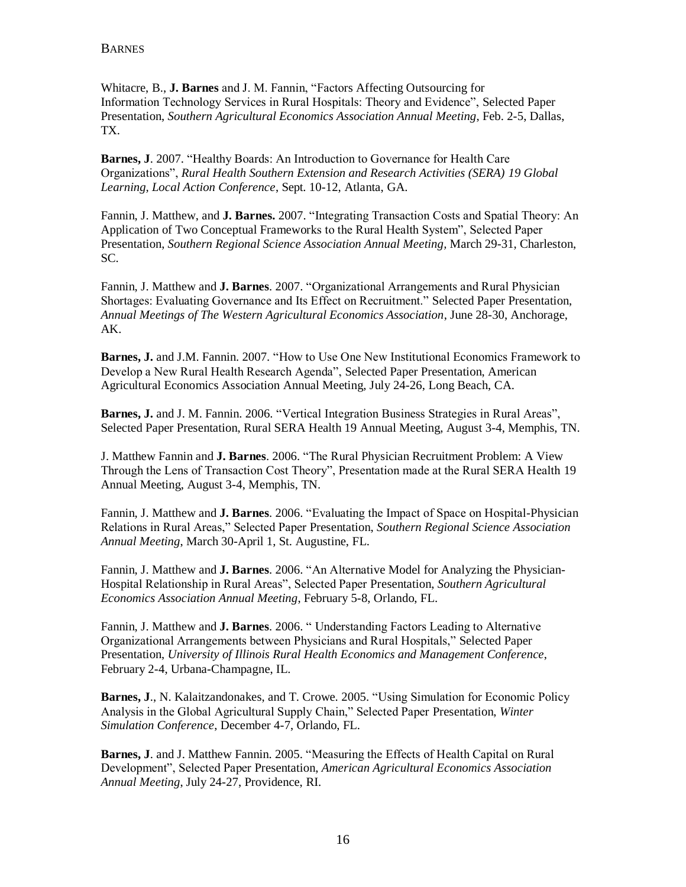Whitacre, B., **J. Barnes** and J. M. Fannin, "Factors Affecting Outsourcing for Information Technology Services in Rural Hospitals: Theory and Evidence", Selected Paper Presentation, *Southern Agricultural Economics Association Annual Meeting*, Feb. 2-5, Dallas, TX.

**Barnes, J**. 2007. "Healthy Boards: An Introduction to Governance for Health Care Organizations", *Rural Health Southern Extension and Research Activities (SERA) 19 Global Learning, Local Action Conference*, Sept. 10-12, Atlanta, GA.

Fannin, J. Matthew, and **J. Barnes.** 2007. "Integrating Transaction Costs and Spatial Theory: An Application of Two Conceptual Frameworks to the Rural Health System", Selected Paper Presentation, *Southern Regional Science Association Annual Meeting,* March 29-31, Charleston, SC.

Fannin, J. Matthew and **J. Barnes**. 2007. "Organizational Arrangements and Rural Physician Shortages: Evaluating Governance and Its Effect on Recruitment." Selected Paper Presentation, *Annual Meetings of The Western Agricultural Economics Association*, June 28-30, Anchorage, AK.

**Barnes, J.** and J.M. Fannin. 2007. "How to Use One New Institutional Economics Framework to Develop a New Rural Health Research Agenda", Selected Paper Presentation, American Agricultural Economics Association Annual Meeting, July 24-26, Long Beach, CA.

**Barnes, J.** and J. M. Fannin. 2006. "Vertical Integration Business Strategies in Rural Areas", Selected Paper Presentation, Rural SERA Health 19 Annual Meeting, August 3-4, Memphis, TN.

J. Matthew Fannin and **J. Barnes**. 2006. "The Rural Physician Recruitment Problem: A View Through the Lens of Transaction Cost Theory", Presentation made at the Rural SERA Health 19 Annual Meeting, August 3-4, Memphis, TN.

Fannin, J. Matthew and **J. Barnes**. 2006. "Evaluating the Impact of Space on Hospital-Physician Relations in Rural Areas," Selected Paper Presentation, *Southern Regional Science Association Annual Meeting*, March 30-April 1, St. Augustine, FL.

Fannin, J. Matthew and **J. Barnes**. 2006. "An Alternative Model for Analyzing the Physician-Hospital Relationship in Rural Areas", Selected Paper Presentation, *Southern Agricultural Economics Association Annual Meeting*, February 5-8, Orlando, FL.

Fannin, J. Matthew and **J. Barnes**. 2006. " Understanding Factors Leading to Alternative Organizational Arrangements between Physicians and Rural Hospitals," Selected Paper Presentation, *University of Illinois Rural Health Economics and Management Conference*, February 2-4, Urbana-Champagne, IL.

**Barnes, J**., N. Kalaitzandonakes, and T. Crowe. 2005. "Using Simulation for Economic Policy Analysis in the Global Agricultural Supply Chain," Selected Paper Presentation, *Winter Simulation Conference*, December 4-7, Orlando, FL.

**Barnes, J**. and J. Matthew Fannin. 2005. "Measuring the Effects of Health Capital on Rural Development", Selected Paper Presentation, *American Agricultural Economics Association Annual Meeting*, July 24-27, Providence, RI.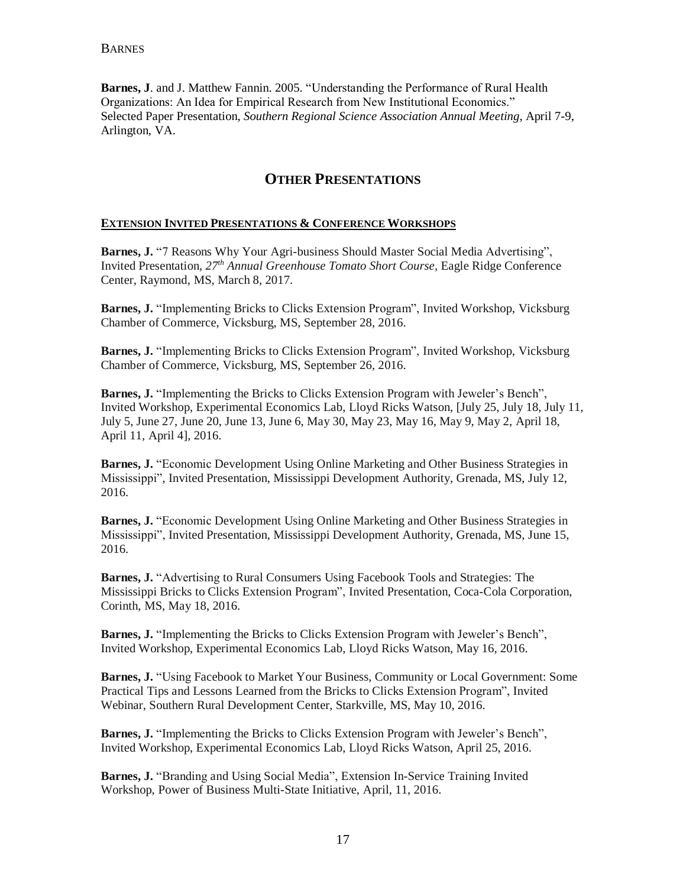**Barnes, J**. and J. Matthew Fannin. 2005. "Understanding the Performance of Rural Health Organizations: An Idea for Empirical Research from New Institutional Economics." Selected Paper Presentation, *Southern Regional Science Association Annual Meeting*, April 7-9, Arlington, VA.

## **OTHER PRESENTATIONS**

#### **EXTENSION INVITED PRESENTATIONS & CONFERENCE WORKSHOPS**

**Barnes, J.** "7 Reasons Why Your Agri-business Should Master Social Media Advertising", Invited Presentation, *27th Annual Greenhouse Tomato Short Course,* Eagle Ridge Conference Center, Raymond, MS, March 8, 2017.

**Barnes, J.** "Implementing Bricks to Clicks Extension Program", Invited Workshop, Vicksburg Chamber of Commerce, Vicksburg, MS, September 28, 2016.

**Barnes, J.** "Implementing Bricks to Clicks Extension Program", Invited Workshop, Vicksburg Chamber of Commerce, Vicksburg, MS, September 26, 2016.

**Barnes, J.** "Implementing the Bricks to Clicks Extension Program with Jeweler's Bench", Invited Workshop, Experimental Economics Lab, Lloyd Ricks Watson, [July 25, July 18, July 11, July 5, June 27, June 20, June 13, June 6, May 30, May 23, May 16, May 9, May 2, April 18, April 11, April 4], 2016.

**Barnes, J.** "Economic Development Using Online Marketing and Other Business Strategies in Mississippi", Invited Presentation, Mississippi Development Authority, Grenada, MS, July 12, 2016.

**Barnes, J.** "Economic Development Using Online Marketing and Other Business Strategies in Mississippi", Invited Presentation, Mississippi Development Authority, Grenada, MS, June 15, 2016.

**Barnes, J.** "Advertising to Rural Consumers Using Facebook Tools and Strategies: The Mississippi Bricks to Clicks Extension Program", Invited Presentation, Coca-Cola Corporation, Corinth, MS, May 18, 2016.

**Barnes, J.** "Implementing the Bricks to Clicks Extension Program with Jeweler's Bench", Invited Workshop, Experimental Economics Lab, Lloyd Ricks Watson, May 16, 2016.

**Barnes, J.** "Using Facebook to Market Your Business, Community or Local Government: Some Practical Tips and Lessons Learned from the Bricks to Clicks Extension Program", Invited Webinar, Southern Rural Development Center, Starkville, MS, May 10, 2016.

**Barnes, J.** "Implementing the Bricks to Clicks Extension Program with Jeweler's Bench", Invited Workshop, Experimental Economics Lab, Lloyd Ricks Watson, April 25, 2016.

**Barnes, J.** "Branding and Using Social Media", Extension In-Service Training Invited Workshop, Power of Business Multi-State Initiative, April, 11, 2016.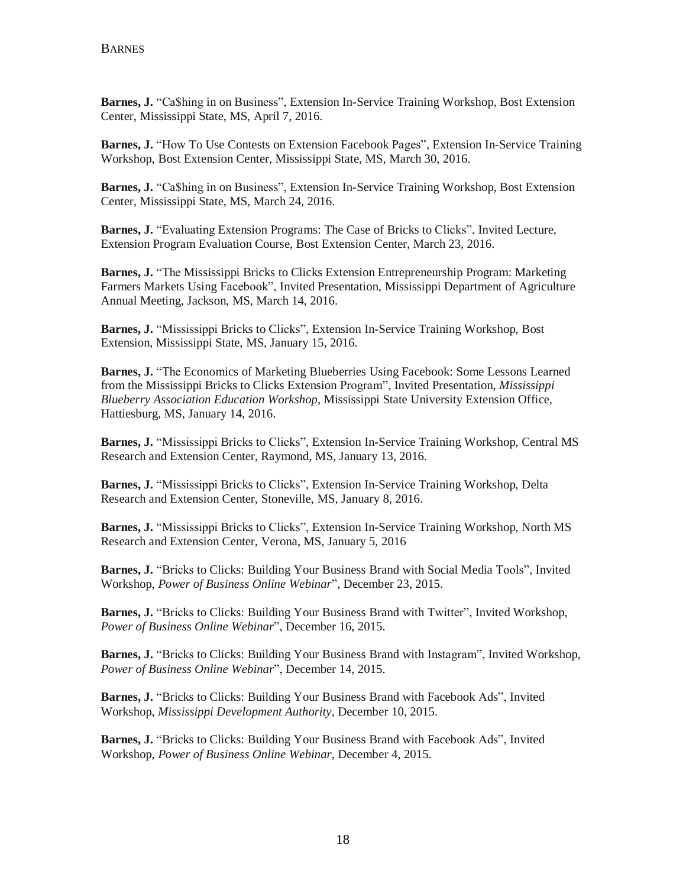**Barnes, J.** "Ca\$hing in on Business", Extension In-Service Training Workshop, Bost Extension Center, Mississippi State, MS, April 7, 2016.

**Barnes, J.** "How To Use Contests on Extension Facebook Pages", Extension In-Service Training Workshop, Bost Extension Center, Mississippi State, MS, March 30, 2016.

**Barnes, J.** "Ca\$hing in on Business", Extension In-Service Training Workshop, Bost Extension Center, Mississippi State, MS, March 24, 2016.

**Barnes, J.** "Evaluating Extension Programs: The Case of Bricks to Clicks", Invited Lecture, Extension Program Evaluation Course, Bost Extension Center, March 23, 2016.

**Barnes, J.** "The Mississippi Bricks to Clicks Extension Entrepreneurship Program: Marketing Farmers Markets Using Facebook", Invited Presentation, Mississippi Department of Agriculture Annual Meeting, Jackson, MS, March 14, 2016.

**Barnes, J.** "Mississippi Bricks to Clicks", Extension In-Service Training Workshop, Bost Extension, Mississippi State, MS, January 15, 2016.

**Barnes, J.** "The Economics of Marketing Blueberries Using Facebook: Some Lessons Learned from the Mississippi Bricks to Clicks Extension Program", Invited Presentation, *Mississippi Blueberry Association Education Workshop*, Mississippi State University Extension Office, Hattiesburg, MS, January 14, 2016.

**Barnes, J.** "Mississippi Bricks to Clicks", Extension In-Service Training Workshop, Central MS Research and Extension Center, Raymond, MS, January 13, 2016.

**Barnes, J.** "Mississippi Bricks to Clicks", Extension In-Service Training Workshop, Delta Research and Extension Center, Stoneville, MS, January 8, 2016.

**Barnes, J.** "Mississippi Bricks to Clicks", Extension In-Service Training Workshop, North MS Research and Extension Center, Verona, MS, January 5, 2016

**Barnes, J.** "Bricks to Clicks: Building Your Business Brand with Social Media Tools", Invited Workshop, *Power of Business Online Webinar*", December 23, 2015.

**Barnes, J.** "Bricks to Clicks: Building Your Business Brand with Twitter", Invited Workshop, *Power of Business Online Webinar*", December 16, 2015.

**Barnes, J.** "Bricks to Clicks: Building Your Business Brand with Instagram", Invited Workshop, *Power of Business Online Webinar*", December 14, 2015.

**Barnes, J.** "Bricks to Clicks: Building Your Business Brand with Facebook Ads", Invited Workshop, *Mississippi Development Authority*, December 10, 2015.

**Barnes, J.** "Bricks to Clicks: Building Your Business Brand with Facebook Ads", Invited Workshop, *Power of Business Online Webinar*, December 4, 2015.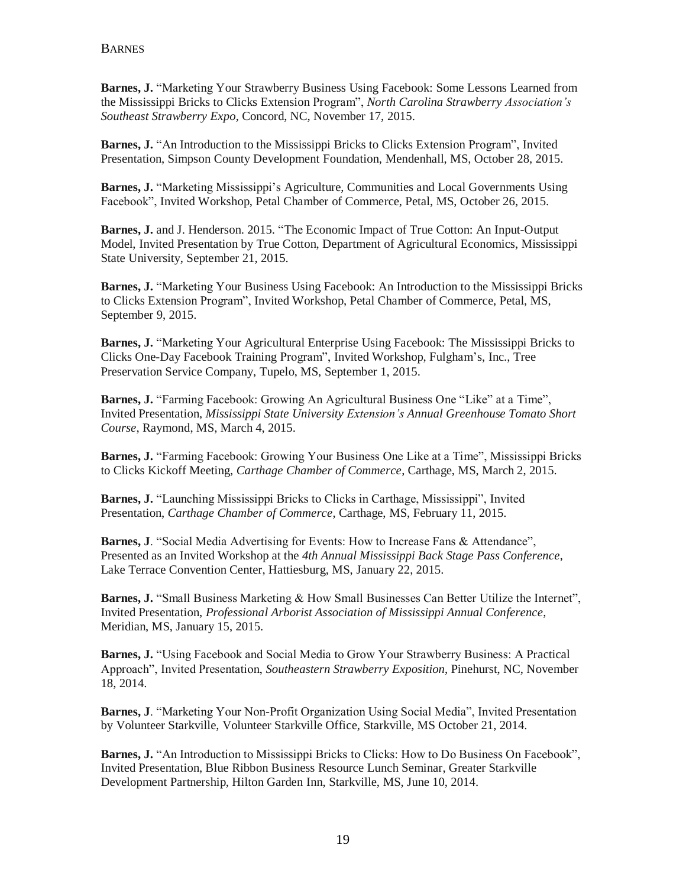**Barnes, J.** "Marketing Your Strawberry Business Using Facebook: Some Lessons Learned from the Mississippi Bricks to Clicks Extension Program", *North Carolina Strawberry Association's Southeast Strawberry Expo*, Concord, NC, November 17, 2015.

**Barnes, J.** "An Introduction to the Mississippi Bricks to Clicks Extension Program", Invited Presentation, Simpson County Development Foundation, Mendenhall, MS, October 28, 2015.

**Barnes, J.** "Marketing Mississippi's Agriculture, Communities and Local Governments Using Facebook", Invited Workshop, Petal Chamber of Commerce, Petal, MS, October 26, 2015.

**Barnes, J.** and J. Henderson. 2015. "The Economic Impact of True Cotton: An Input-Output Model, Invited Presentation by True Cotton, Department of Agricultural Economics, Mississippi State University, September 21, 2015.

**Barnes, J.** "Marketing Your Business Using Facebook: An Introduction to the Mississippi Bricks to Clicks Extension Program", Invited Workshop, Petal Chamber of Commerce, Petal, MS, September 9, 2015.

**Barnes, J.** "Marketing Your Agricultural Enterprise Using Facebook: The Mississippi Bricks to Clicks One-Day Facebook Training Program", Invited Workshop, Fulgham's, Inc., Tree Preservation Service Company, Tupelo, MS, September 1, 2015.

**Barnes, J.** "Farming Facebook: Growing An Agricultural Business One "Like" at a Time", Invited Presentation, *Mississippi State University Extension's Annual Greenhouse Tomato Short Course*, Raymond, MS, March 4, 2015.

**Barnes, J.** "Farming Facebook: Growing Your Business One Like at a Time", Mississippi Bricks to Clicks Kickoff Meeting, *Carthage Chamber of Commerce*, Carthage, MS, March 2, 2015.

**Barnes, J.** "Launching Mississippi Bricks to Clicks in Carthage, Mississippi", Invited Presentation, *Carthage Chamber of Commerce*, Carthage, MS, February 11, 2015.

**Barnes, J**. "Social Media Advertising for Events: How to Increase Fans & Attendance", Presented as an Invited Workshop at the *4th Annual Mississippi Back Stage Pass Conference*, Lake Terrace Convention Center, Hattiesburg, MS, January 22, 2015.

**Barnes, J.** "Small Business Marketing & How Small Businesses Can Better Utilize the Internet", Invited Presentation, *Professional Arborist Association of Mississippi Annual Conference*, Meridian, MS, January 15, 2015.

**Barnes, J.** "Using Facebook and Social Media to Grow Your Strawberry Business: A Practical Approach", Invited Presentation, *Southeastern Strawberry Exposition*, Pinehurst, NC, November 18, 2014.

**Barnes, J**. "Marketing Your Non-Profit Organization Using Social Media", Invited Presentation by Volunteer Starkville, Volunteer Starkville Office, Starkville, MS October 21, 2014.

**Barnes, J.** "An Introduction to Mississippi Bricks to Clicks: How to Do Business On Facebook", Invited Presentation, Blue Ribbon Business Resource Lunch Seminar, Greater Starkville Development Partnership, Hilton Garden Inn, Starkville, MS, June 10, 2014.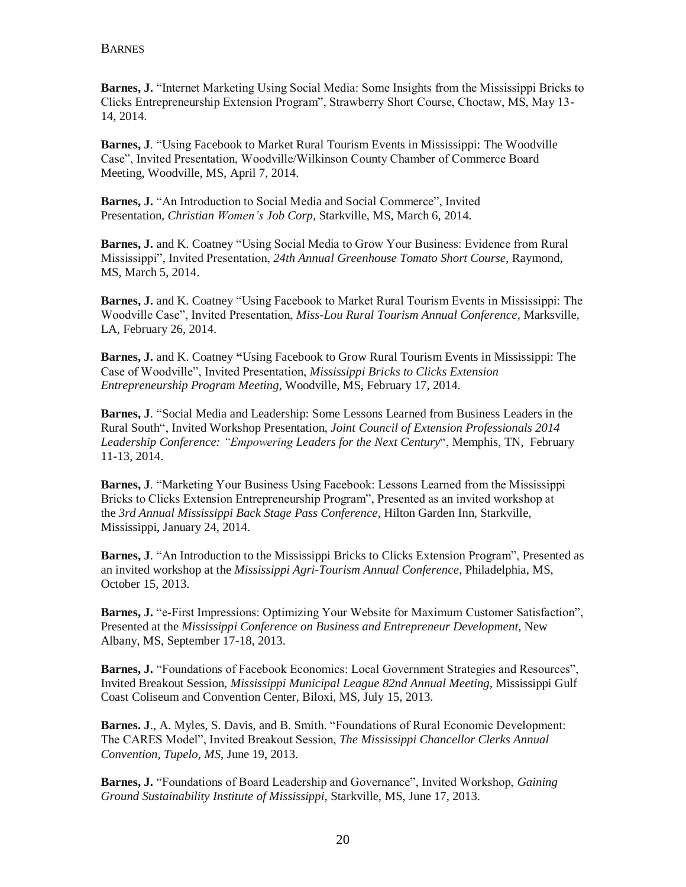**Barnes, J.** "Internet Marketing Using Social Media: Some Insights from the Mississippi Bricks to Clicks Entrepreneurship Extension Program", Strawberry Short Course, Choctaw, MS, May 13- 14, 2014.

**Barnes, J**. "Using Facebook to Market Rural Tourism Events in Mississippi: The Woodville Case", Invited Presentation, Woodville/Wilkinson County Chamber of Commerce Board Meeting, Woodville, MS, April 7, 2014.

**Barnes, J.** "An Introduction to Social Media and Social Commerce", Invited Presentation, *Christian Women's Job Corp,* Starkville, MS, March 6, 2014.

**Barnes, J.** and K. Coatney "Using Social Media to Grow Your Business: Evidence from Rural Mississippi", Invited Presentation, *24th Annual Greenhouse Tomato Short Course*, Raymond, MS, March 5, 2014.

**Barnes, J.** and K. Coatney "Using Facebook to Market Rural Tourism Events in Mississippi: The Woodville Case", Invited Presentation, *Miss-Lou Rural Tourism Annual Conference*, Marksville, LA, February 26, 2014.

**Barnes, J.** and K. Coatney **"**Using Facebook to Grow Rural Tourism Events in Mississippi: The Case of Woodville", Invited Presentation, *Mississippi Bricks to Clicks Extension Entrepreneurship Program Meeting*, Woodville, MS, February 17, 2014.

**Barnes, J**. "Social Media and Leadership: Some Lessons Learned from Business Leaders in the Rural South", Invited Workshop Presentation, *Joint Council of Extension Professionals 2014 Leadership Conference: "Empowering Leaders for the Next Century*", Memphis, TN, February 11-13, 2014.

**Barnes, J**. "Marketing Your Business Using Facebook: Lessons Learned from the Mississippi Bricks to Clicks Extension Entrepreneurship Program", Presented as an invited workshop at the *3rd Annual Mississippi Back Stage Pass Conference*, Hilton Garden Inn, Starkville, Mississippi, January 24, 2014.

**Barnes, J**. "An Introduction to the Mississippi Bricks to Clicks Extension Program", Presented as an invited workshop at the *Mississippi Agri-Tourism Annual Conference*, Philadelphia, MS, October 15, 2013.

**Barnes, J.** "e-First Impressions: Optimizing Your Website for Maximum Customer Satisfaction", Presented at the *Mississippi Conference on Business and Entrepreneur Development*, New Albany, MS, September 17-18, 2013.

**Barnes, J.** "Foundations of Facebook Economics: Local Government Strategies and Resources", Invited Breakout Session, *Mississippi Municipal League 82nd Annual Meeting*, Mississippi Gulf Coast Coliseum and Convention Center, Biloxi, MS, July 15, 2013.

**Barnes. J**., A. Myles, S. Davis, and B. Smith. "Foundations of Rural Economic Development: The CARES Model", Invited Breakout Session, *The Mississippi Chancellor Clerks Annual Convention, Tupelo, MS,* June 19, 2013.

**Barnes, J.** "Foundations of Board Leadership and Governance", Invited Workshop, *Gaining Ground Sustainability Institute of Mississippi*, Starkville, MS, June 17, 2013.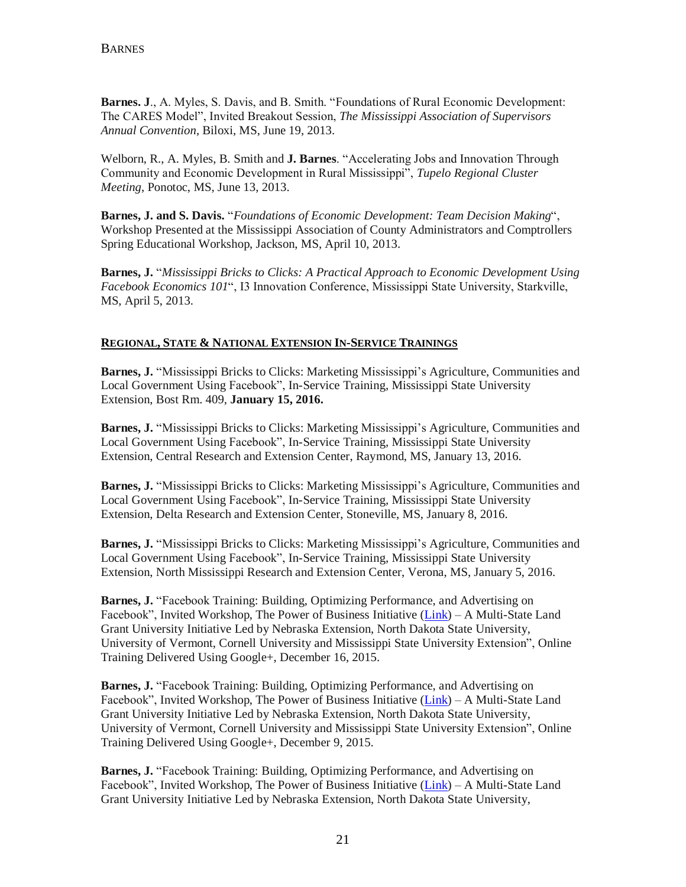**Barnes. J**., A. Myles, S. Davis, and B. Smith. "Foundations of Rural Economic Development: The CARES Model", Invited Breakout Session, *The Mississippi Association of Supervisors Annual Convention*, Biloxi, MS, June 19, 2013.

Welborn, R., A. Myles, B. Smith and **J. Barnes**. "Accelerating Jobs and Innovation Through Community and Economic Development in Rural Mississippi", *Tupelo Regional Cluster Meeting*, Ponotoc, MS, June 13, 2013.

**Barnes, J. and S. Davis.** "*Foundations of Economic Development: Team Decision Making*", Workshop Presented at the Mississippi Association of County Administrators and Comptrollers Spring Educational Workshop, Jackson, MS, April 10, 2013.

**Barnes, J.** "*Mississippi Bricks to Clicks: A Practical Approach to Economic Development Using Facebook Economics 101*", I3 Innovation Conference, Mississippi State University, Starkville, MS, April 5, 2013.

### **REGIONAL, STATE & NATIONAL EXTENSION IN-SERVICE TRAININGS**

**Barnes, J.** "Mississippi Bricks to Clicks: Marketing Mississippi's Agriculture, Communities and Local Government Using Facebook", In-Service Training, Mississippi State University Extension, Bost Rm. 409, **January 15, 2016.**

**Barnes, J.** "Mississippi Bricks to Clicks: Marketing Mississippi's Agriculture, Communities and Local Government Using Facebook", In-Service Training, Mississippi State University Extension, Central Research and Extension Center, Raymond, MS, January 13, 2016.

**Barnes, J.** "Mississippi Bricks to Clicks: Marketing Mississippi's Agriculture, Communities and Local Government Using Facebook", In-Service Training, Mississippi State University Extension, Delta Research and Extension Center, Stoneville, MS, January 8, 2016.

**Barnes, J.** "Mississippi Bricks to Clicks: Marketing Mississippi's Agriculture, Communities and Local Government Using Facebook", In-Service Training, Mississippi State University Extension, North Mississippi Research and Extension Center, Verona, MS, January 5, 2016.

**Barnes, J.** "Facebook Training: Building, Optimizing Performance, and Advertising on Facebook", Invited Workshop, The Power of Business Initiative [\(Link\)](mailto:http://powerofbusiness.net/about-us/) – A Multi-State Land Grant University Initiative Led by Nebraska Extension, North Dakota State University, University of Vermont, Cornell University and Mississippi State University Extension", Online Training Delivered Using Google+, December 16, 2015.

**Barnes, J.** "Facebook Training: Building, Optimizing Performance, and Advertising on Facebook", Invited Workshop, The Power of Business Initiative [\(Link\)](mailto:http://powerofbusiness.net/about-us/) – A Multi-State Land Grant University Initiative Led by Nebraska Extension, North Dakota State University, University of Vermont, Cornell University and Mississippi State University Extension", Online Training Delivered Using Google+, December 9, 2015.

**Barnes, J.** "Facebook Training: Building, Optimizing Performance, and Advertising on Facebook", Invited Workshop, The Power of Business Initiative [\(Link\)](mailto:http://powerofbusiness.net/about-us/) – A Multi-State Land Grant University Initiative Led by Nebraska Extension, North Dakota State University,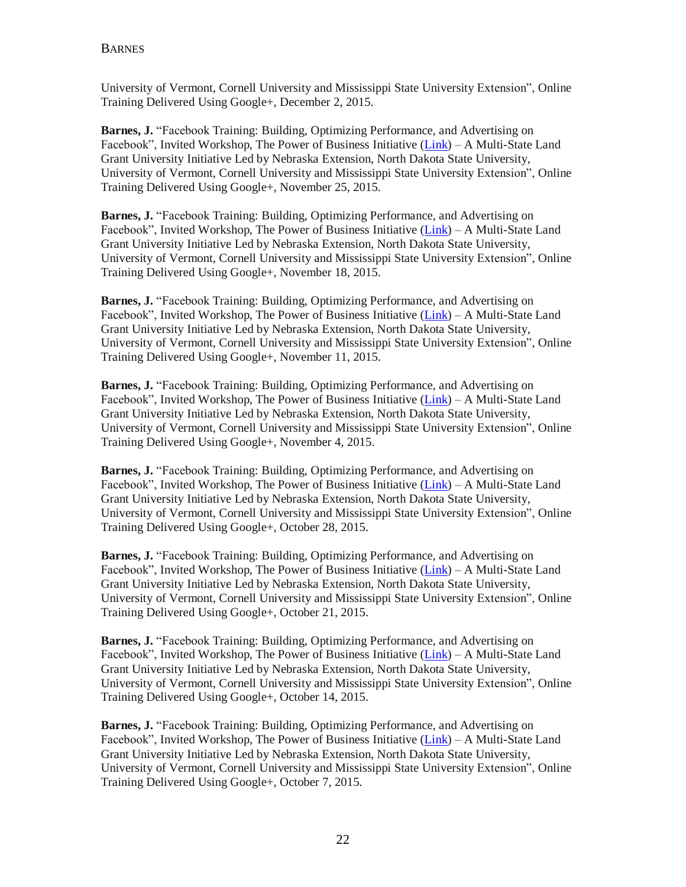University of Vermont, Cornell University and Mississippi State University Extension", Online Training Delivered Using Google+, December 2, 2015.

**Barnes, J.** "Facebook Training: Building, Optimizing Performance, and Advertising on Facebook", Invited Workshop, The Power of Business Initiative [\(Link\)](mailto:http://powerofbusiness.net/about-us/) – A Multi-State Land Grant University Initiative Led by Nebraska Extension, North Dakota State University, University of Vermont, Cornell University and Mississippi State University Extension", Online Training Delivered Using Google+, November 25, 2015.

**Barnes, J.** "Facebook Training: Building, Optimizing Performance, and Advertising on Facebook", Invited Workshop, The Power of Business Initiative [\(Link\)](mailto:http://powerofbusiness.net/about-us/) – A Multi-State Land Grant University Initiative Led by Nebraska Extension, North Dakota State University, University of Vermont, Cornell University and Mississippi State University Extension", Online Training Delivered Using Google+, November 18, 2015.

**Barnes, J.** "Facebook Training: Building, Optimizing Performance, and Advertising on Facebook", Invited Workshop, The Power of Business Initiative [\(Link\)](mailto:http://powerofbusiness.net/about-us/) – A Multi-State Land Grant University Initiative Led by Nebraska Extension, North Dakota State University, University of Vermont, Cornell University and Mississippi State University Extension", Online Training Delivered Using Google+, November 11, 2015.

**Barnes, J.** "Facebook Training: Building, Optimizing Performance, and Advertising on Facebook", Invited Workshop, The Power of Business Initiative [\(Link\)](mailto:http://powerofbusiness.net/about-us/) – A Multi-State Land Grant University Initiative Led by Nebraska Extension, North Dakota State University, University of Vermont, Cornell University and Mississippi State University Extension", Online Training Delivered Using Google+, November 4, 2015.

**Barnes, J.** "Facebook Training: Building, Optimizing Performance, and Advertising on Facebook", Invited Workshop, The Power of Business Initiative [\(Link\)](mailto:http://powerofbusiness.net/about-us/) – A Multi-State Land Grant University Initiative Led by Nebraska Extension, North Dakota State University, University of Vermont, Cornell University and Mississippi State University Extension", Online Training Delivered Using Google+, October 28, 2015.

**Barnes, J.** "Facebook Training: Building, Optimizing Performance, and Advertising on Facebook", Invited Workshop, The Power of Business Initiative [\(Link\)](mailto:http://powerofbusiness.net/about-us/) – A Multi-State Land Grant University Initiative Led by Nebraska Extension, North Dakota State University, University of Vermont, Cornell University and Mississippi State University Extension", Online Training Delivered Using Google+, October 21, 2015.

**Barnes, J.** "Facebook Training: Building, Optimizing Performance, and Advertising on Facebook", Invited Workshop, The Power of Business Initiative [\(Link\)](mailto:http://powerofbusiness.net/about-us/) – A Multi-State Land Grant University Initiative Led by Nebraska Extension, North Dakota State University, University of Vermont, Cornell University and Mississippi State University Extension", Online Training Delivered Using Google+, October 14, 2015.

**Barnes, J.** "Facebook Training: Building, Optimizing Performance, and Advertising on Facebook", Invited Workshop, The Power of Business Initiative [\(Link\)](mailto:http://powerofbusiness.net/about-us/) – A Multi-State Land Grant University Initiative Led by Nebraska Extension, North Dakota State University, University of Vermont, Cornell University and Mississippi State University Extension", Online Training Delivered Using Google+, October 7, 2015.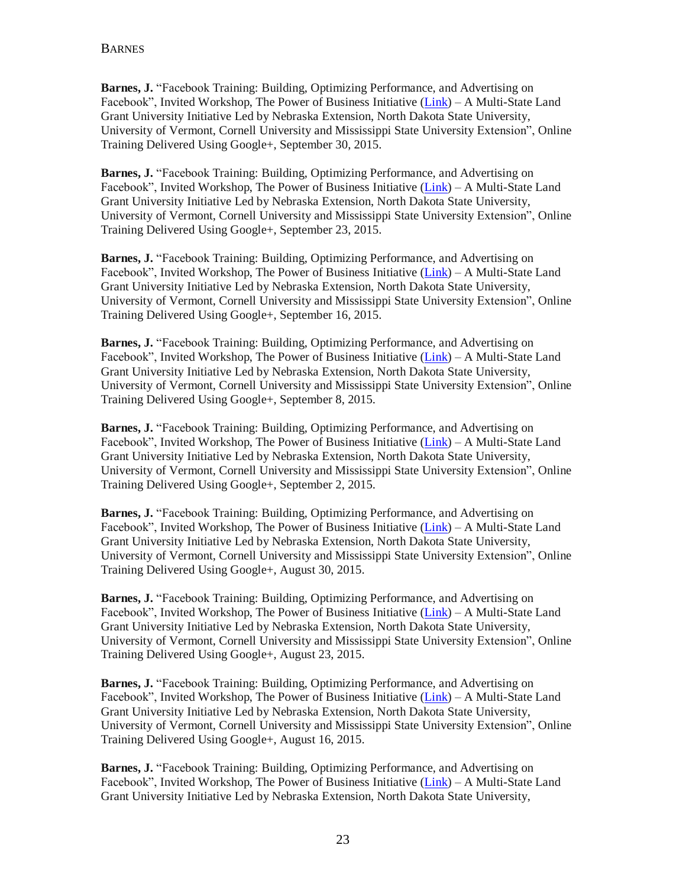**Barnes, J.** "Facebook Training: Building, Optimizing Performance, and Advertising on Facebook", Invited Workshop, The Power of Business Initiative [\(Link\)](mailto:http://powerofbusiness.net/about-us/) – A Multi-State Land Grant University Initiative Led by Nebraska Extension, North Dakota State University, University of Vermont, Cornell University and Mississippi State University Extension", Online Training Delivered Using Google+, September 30, 2015.

**Barnes, J.** "Facebook Training: Building, Optimizing Performance, and Advertising on Facebook", Invited Workshop, The Power of Business Initiative [\(Link\)](mailto:http://powerofbusiness.net/about-us/) – A Multi-State Land Grant University Initiative Led by Nebraska Extension, North Dakota State University, University of Vermont, Cornell University and Mississippi State University Extension", Online Training Delivered Using Google+, September 23, 2015.

**Barnes, J.** "Facebook Training: Building, Optimizing Performance, and Advertising on Facebook", Invited Workshop, The Power of Business Initiative [\(Link\)](mailto:http://powerofbusiness.net/about-us/) – A Multi-State Land Grant University Initiative Led by Nebraska Extension, North Dakota State University, University of Vermont, Cornell University and Mississippi State University Extension", Online Training Delivered Using Google+, September 16, 2015.

**Barnes, J.** "Facebook Training: Building, Optimizing Performance, and Advertising on Facebook", Invited Workshop, The Power of Business Initiative [\(Link\)](mailto:http://powerofbusiness.net/about-us/) – A Multi-State Land Grant University Initiative Led by Nebraska Extension, North Dakota State University, University of Vermont, Cornell University and Mississippi State University Extension", Online Training Delivered Using Google+, September 8, 2015.

**Barnes, J.** "Facebook Training: Building, Optimizing Performance, and Advertising on Facebook", Invited Workshop, The Power of Business Initiative [\(Link\)](mailto:http://powerofbusiness.net/about-us/) – A Multi-State Land Grant University Initiative Led by Nebraska Extension, North Dakota State University, University of Vermont, Cornell University and Mississippi State University Extension", Online Training Delivered Using Google+, September 2, 2015.

**Barnes, J.** "Facebook Training: Building, Optimizing Performance, and Advertising on Facebook", Invited Workshop, The Power of Business Initiative [\(Link\)](mailto:http://powerofbusiness.net/about-us/) – A Multi-State Land Grant University Initiative Led by Nebraska Extension, North Dakota State University, University of Vermont, Cornell University and Mississippi State University Extension", Online Training Delivered Using Google+, August 30, 2015.

**Barnes, J.** "Facebook Training: Building, Optimizing Performance, and Advertising on Facebook", Invited Workshop, The Power of Business Initiative [\(Link\)](mailto:http://powerofbusiness.net/about-us/) – A Multi-State Land Grant University Initiative Led by Nebraska Extension, North Dakota State University, University of Vermont, Cornell University and Mississippi State University Extension", Online Training Delivered Using Google+, August 23, 2015.

**Barnes, J.** "Facebook Training: Building, Optimizing Performance, and Advertising on Facebook", Invited Workshop, The Power of Business Initiative [\(Link\)](mailto:http://powerofbusiness.net/about-us/) – A Multi-State Land Grant University Initiative Led by Nebraska Extension, North Dakota State University, University of Vermont, Cornell University and Mississippi State University Extension", Online Training Delivered Using Google+, August 16, 2015.

**Barnes, J.** "Facebook Training: Building, Optimizing Performance, and Advertising on Facebook", Invited Workshop, The Power of Business Initiative [\(Link\)](mailto:http://powerofbusiness.net/about-us/) – A Multi-State Land Grant University Initiative Led by Nebraska Extension, North Dakota State University,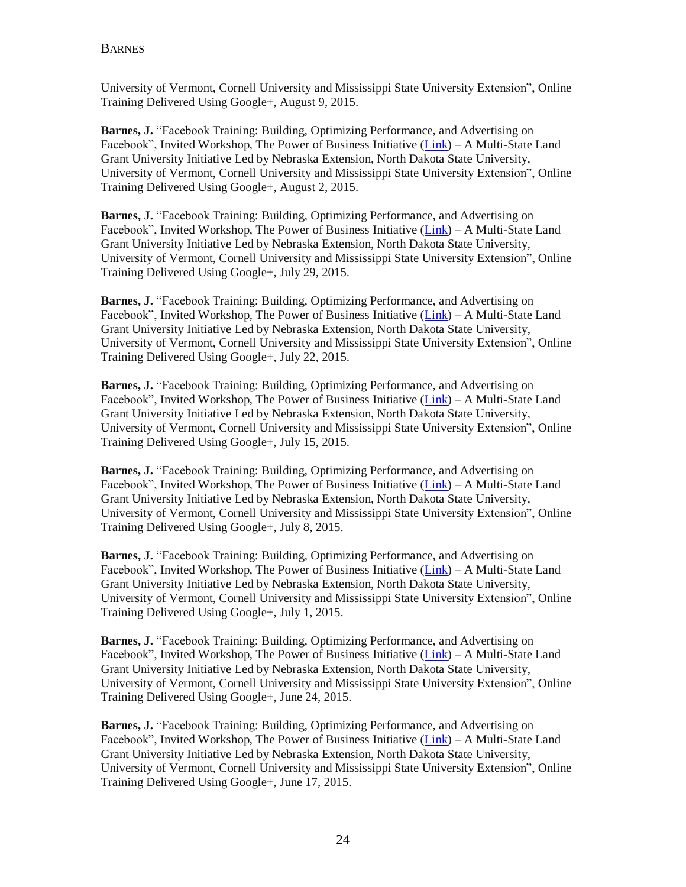University of Vermont, Cornell University and Mississippi State University Extension", Online Training Delivered Using Google+, August 9, 2015.

**Barnes, J.** "Facebook Training: Building, Optimizing Performance, and Advertising on Facebook", Invited Workshop, The Power of Business Initiative [\(Link\)](mailto:http://powerofbusiness.net/about-us/) – A Multi-State Land Grant University Initiative Led by Nebraska Extension, North Dakota State University, University of Vermont, Cornell University and Mississippi State University Extension", Online Training Delivered Using Google+, August 2, 2015.

**Barnes, J.** "Facebook Training: Building, Optimizing Performance, and Advertising on Facebook", Invited Workshop, The Power of Business Initiative [\(Link\)](mailto:http://powerofbusiness.net/about-us/) – A Multi-State Land Grant University Initiative Led by Nebraska Extension, North Dakota State University, University of Vermont, Cornell University and Mississippi State University Extension", Online Training Delivered Using Google+, July 29, 2015.

**Barnes, J.** "Facebook Training: Building, Optimizing Performance, and Advertising on Facebook", Invited Workshop, The Power of Business Initiative [\(Link\)](mailto:http://powerofbusiness.net/about-us/) – A Multi-State Land Grant University Initiative Led by Nebraska Extension, North Dakota State University, University of Vermont, Cornell University and Mississippi State University Extension", Online Training Delivered Using Google+, July 22, 2015.

**Barnes, J.** "Facebook Training: Building, Optimizing Performance, and Advertising on Facebook", Invited Workshop, The Power of Business Initiative [\(Link\)](mailto:http://powerofbusiness.net/about-us/) – A Multi-State Land Grant University Initiative Led by Nebraska Extension, North Dakota State University, University of Vermont, Cornell University and Mississippi State University Extension", Online Training Delivered Using Google+, July 15, 2015.

**Barnes, J.** "Facebook Training: Building, Optimizing Performance, and Advertising on Facebook", Invited Workshop, The Power of Business Initiative [\(Link\)](mailto:http://powerofbusiness.net/about-us/) – A Multi-State Land Grant University Initiative Led by Nebraska Extension, North Dakota State University, University of Vermont, Cornell University and Mississippi State University Extension", Online Training Delivered Using Google+, July 8, 2015.

**Barnes, J.** "Facebook Training: Building, Optimizing Performance, and Advertising on Facebook", Invited Workshop, The Power of Business Initiative [\(Link\)](mailto:http://powerofbusiness.net/about-us/) – A Multi-State Land Grant University Initiative Led by Nebraska Extension, North Dakota State University, University of Vermont, Cornell University and Mississippi State University Extension", Online Training Delivered Using Google+, July 1, 2015.

**Barnes, J.** "Facebook Training: Building, Optimizing Performance, and Advertising on Facebook", Invited Workshop, The Power of Business Initiative [\(Link\)](mailto:http://powerofbusiness.net/about-us/) – A Multi-State Land Grant University Initiative Led by Nebraska Extension, North Dakota State University, University of Vermont, Cornell University and Mississippi State University Extension", Online Training Delivered Using Google+, June 24, 2015.

**Barnes, J.** "Facebook Training: Building, Optimizing Performance, and Advertising on Facebook", Invited Workshop, The Power of Business Initiative [\(Link\)](mailto:http://powerofbusiness.net/about-us/) – A Multi-State Land Grant University Initiative Led by Nebraska Extension, North Dakota State University, University of Vermont, Cornell University and Mississippi State University Extension", Online Training Delivered Using Google+, June 17, 2015.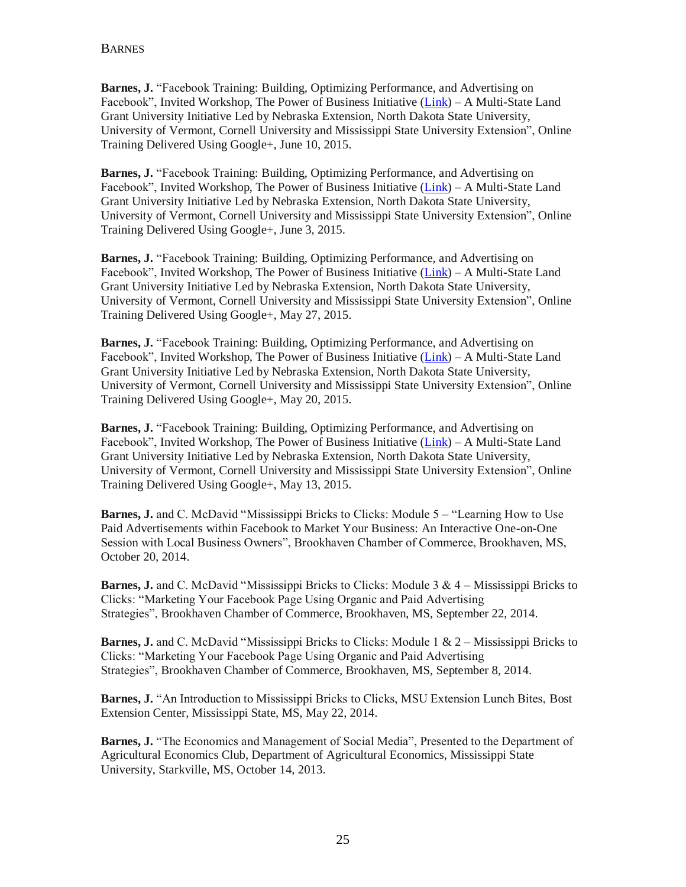**Barnes, J.** "Facebook Training: Building, Optimizing Performance, and Advertising on Facebook", Invited Workshop, The Power of Business Initiative [\(Link\)](mailto:http://powerofbusiness.net/about-us/) – A Multi-State Land Grant University Initiative Led by Nebraska Extension, North Dakota State University, University of Vermont, Cornell University and Mississippi State University Extension", Online Training Delivered Using Google+, June 10, 2015.

**Barnes, J.** "Facebook Training: Building, Optimizing Performance, and Advertising on Facebook", Invited Workshop, The Power of Business Initiative [\(Link\)](mailto:http://powerofbusiness.net/about-us/) – A Multi-State Land Grant University Initiative Led by Nebraska Extension, North Dakota State University, University of Vermont, Cornell University and Mississippi State University Extension", Online Training Delivered Using Google+, June 3, 2015.

**Barnes, J.** "Facebook Training: Building, Optimizing Performance, and Advertising on Facebook", Invited Workshop, The Power of Business Initiative [\(Link\)](mailto:http://powerofbusiness.net/about-us/) – A Multi-State Land Grant University Initiative Led by Nebraska Extension, North Dakota State University, University of Vermont, Cornell University and Mississippi State University Extension", Online Training Delivered Using Google+, May 27, 2015.

**Barnes, J.** "Facebook Training: Building, Optimizing Performance, and Advertising on Facebook", Invited Workshop, The Power of Business Initiative [\(Link\)](mailto:http://powerofbusiness.net/about-us/) – A Multi-State Land Grant University Initiative Led by Nebraska Extension, North Dakota State University, University of Vermont, Cornell University and Mississippi State University Extension", Online Training Delivered Using Google+, May 20, 2015.

**Barnes, J.** "Facebook Training: Building, Optimizing Performance, and Advertising on Facebook", Invited Workshop, The Power of Business Initiative [\(Link\)](mailto:http://powerofbusiness.net/about-us/) – A Multi-State Land Grant University Initiative Led by Nebraska Extension, North Dakota State University, University of Vermont, Cornell University and Mississippi State University Extension", Online Training Delivered Using Google+, May 13, 2015.

**Barnes, J.** and C. McDavid "Mississippi Bricks to Clicks: Module 5 – "Learning How to Use Paid Advertisements within Facebook to Market Your Business: An Interactive One-on-One Session with Local Business Owners", Brookhaven Chamber of Commerce, Brookhaven, MS, October 20, 2014.

**Barnes, J.** and C. McDavid "Mississippi Bricks to Clicks: Module 3 & 4 – Mississippi Bricks to Clicks: "Marketing Your Facebook Page Using Organic and Paid Advertising Strategies", Brookhaven Chamber of Commerce, Brookhaven, MS, September 22, 2014.

**Barnes, J.** and C. McDavid "Mississippi Bricks to Clicks: Module 1 & 2 – Mississippi Bricks to Clicks: "Marketing Your Facebook Page Using Organic and Paid Advertising Strategies", Brookhaven Chamber of Commerce, Brookhaven, MS, September 8, 2014.

**Barnes, J.** "An Introduction to Mississippi Bricks to Clicks, MSU Extension Lunch Bites, Bost Extension Center, Mississippi State, MS, May 22, 2014.

**Barnes, J.** "The Economics and Management of Social Media", Presented to the Department of Agricultural Economics Club, Department of Agricultural Economics, Mississippi State University, Starkville, MS, October 14, 2013.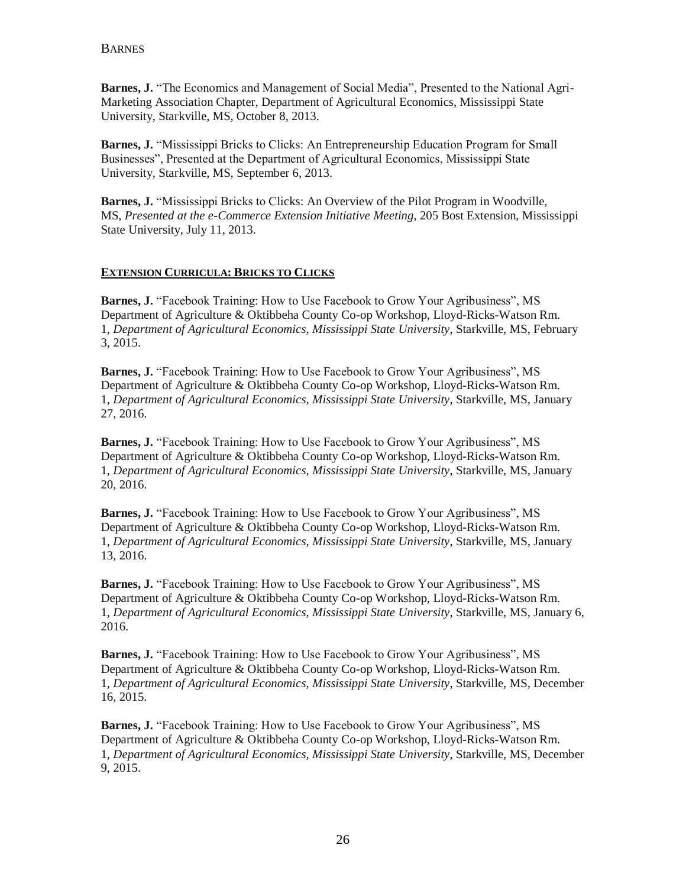**Barnes, J.** "The Economics and Management of Social Media", Presented to the National Agri-Marketing Association Chapter, Department of Agricultural Economics, Mississippi State University, Starkville, MS, October 8, 2013.

**Barnes, J.** "Mississippi Bricks to Clicks: An Entrepreneurship Education Program for Small Businesses", Presented at the Department of Agricultural Economics, Mississippi State University, Starkville, MS, September 6, 2013.

**Barnes, J.** "Mississippi Bricks to Clicks: An Overview of the Pilot Program in Woodville, MS, *Presented at the e-Commerce Extension Initiative Meeting*, 205 Bost Extension, Mississippi State University, July 11, 2013.

### **EXTENSION CURRICULA: BRICKS TO CLICKS**

**Barnes, J.** "Facebook Training: How to Use Facebook to Grow Your Agribusiness", MS Department of Agriculture & Oktibbeha County Co-op Workshop, Lloyd-Ricks-Watson Rm. 1, *Department of Agricultural Economics, Mississippi State University*, Starkville, MS, February 3, 2015.

**Barnes, J.** "Facebook Training: How to Use Facebook to Grow Your Agribusiness", MS Department of Agriculture & Oktibbeha County Co-op Workshop, Lloyd-Ricks-Watson Rm. 1, *Department of Agricultural Economics, Mississippi State University*, Starkville, MS, January 27, 2016.

**Barnes, J.** "Facebook Training: How to Use Facebook to Grow Your Agribusiness", MS Department of Agriculture & Oktibbeha County Co-op Workshop, Lloyd-Ricks-Watson Rm. 1, *Department of Agricultural Economics, Mississippi State University*, Starkville, MS, January 20, 2016.

**Barnes, J.** "Facebook Training: How to Use Facebook to Grow Your Agribusiness", MS Department of Agriculture & Oktibbeha County Co-op Workshop, Lloyd-Ricks-Watson Rm. 1, *Department of Agricultural Economics, Mississippi State University*, Starkville, MS, January 13, 2016.

**Barnes, J.** "Facebook Training: How to Use Facebook to Grow Your Agribusiness", MS Department of Agriculture & Oktibbeha County Co-op Workshop, Lloyd-Ricks-Watson Rm. 1, *Department of Agricultural Economics, Mississippi State University*, Starkville, MS, January 6, 2016.

**Barnes, J.** "Facebook Training: How to Use Facebook to Grow Your Agribusiness", MS Department of Agriculture & Oktibbeha County Co-op Workshop, Lloyd-Ricks-Watson Rm. 1, *Department of Agricultural Economics, Mississippi State University*, Starkville, MS, December 16, 2015.

**Barnes, J.** "Facebook Training: How to Use Facebook to Grow Your Agribusiness", MS Department of Agriculture & Oktibbeha County Co-op Workshop, Lloyd-Ricks-Watson Rm. 1, *Department of Agricultural Economics, Mississippi State University*, Starkville, MS, December 9, 2015.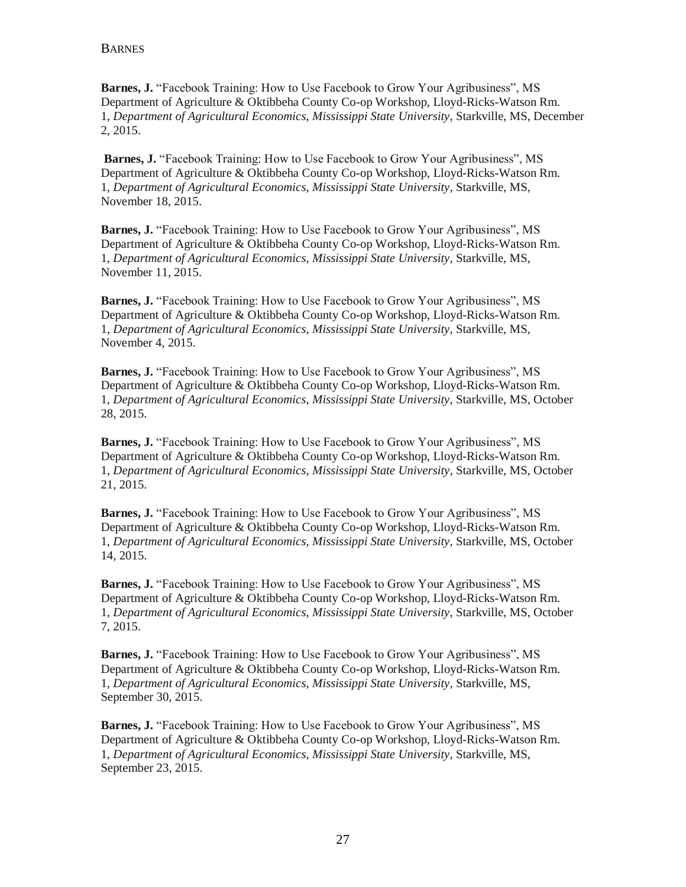**Barnes, J.** "Facebook Training: How to Use Facebook to Grow Your Agribusiness", MS Department of Agriculture & Oktibbeha County Co-op Workshop, Lloyd-Ricks-Watson Rm. 1, *Department of Agricultural Economics, Mississippi State University*, Starkville, MS, December 2, 2015.

**Barnes, J.** "Facebook Training: How to Use Facebook to Grow Your Agribusiness", MS Department of Agriculture & Oktibbeha County Co-op Workshop, Lloyd-Ricks-Watson Rm. 1, *Department of Agricultural Economics, Mississippi State University*, Starkville, MS, November 18, 2015.

**Barnes, J.** "Facebook Training: How to Use Facebook to Grow Your Agribusiness", MS Department of Agriculture & Oktibbeha County Co-op Workshop, Lloyd-Ricks-Watson Rm. 1, *Department of Agricultural Economics, Mississippi State University*, Starkville, MS, November 11, 2015.

**Barnes, J.** "Facebook Training: How to Use Facebook to Grow Your Agribusiness", MS Department of Agriculture & Oktibbeha County Co-op Workshop, Lloyd-Ricks-Watson Rm. 1, *Department of Agricultural Economics, Mississippi State University*, Starkville, MS, November 4, 2015.

**Barnes, J.** "Facebook Training: How to Use Facebook to Grow Your Agribusiness", MS Department of Agriculture & Oktibbeha County Co-op Workshop, Lloyd-Ricks-Watson Rm. 1, *Department of Agricultural Economics, Mississippi State University*, Starkville, MS, October 28, 2015.

**Barnes, J.** "Facebook Training: How to Use Facebook to Grow Your Agribusiness", MS Department of Agriculture & Oktibbeha County Co-op Workshop, Lloyd-Ricks-Watson Rm. 1, *Department of Agricultural Economics, Mississippi State University*, Starkville, MS, October 21, 2015.

**Barnes, J.** "Facebook Training: How to Use Facebook to Grow Your Agribusiness", MS Department of Agriculture & Oktibbeha County Co-op Workshop, Lloyd-Ricks-Watson Rm. 1, *Department of Agricultural Economics, Mississippi State University*, Starkville, MS, October 14, 2015.

**Barnes, J.** "Facebook Training: How to Use Facebook to Grow Your Agribusiness", MS Department of Agriculture & Oktibbeha County Co-op Workshop, Lloyd-Ricks-Watson Rm. 1, *Department of Agricultural Economics, Mississippi State University*, Starkville, MS, October 7, 2015.

**Barnes, J.** "Facebook Training: How to Use Facebook to Grow Your Agribusiness", MS Department of Agriculture & Oktibbeha County Co-op Workshop, Lloyd-Ricks-Watson Rm. 1, *Department of Agricultural Economics, Mississippi State University*, Starkville, MS, September 30, 2015.

**Barnes, J.** "Facebook Training: How to Use Facebook to Grow Your Agribusiness", MS Department of Agriculture & Oktibbeha County Co-op Workshop, Lloyd-Ricks-Watson Rm. 1, *Department of Agricultural Economics, Mississippi State University*, Starkville, MS, September 23, 2015.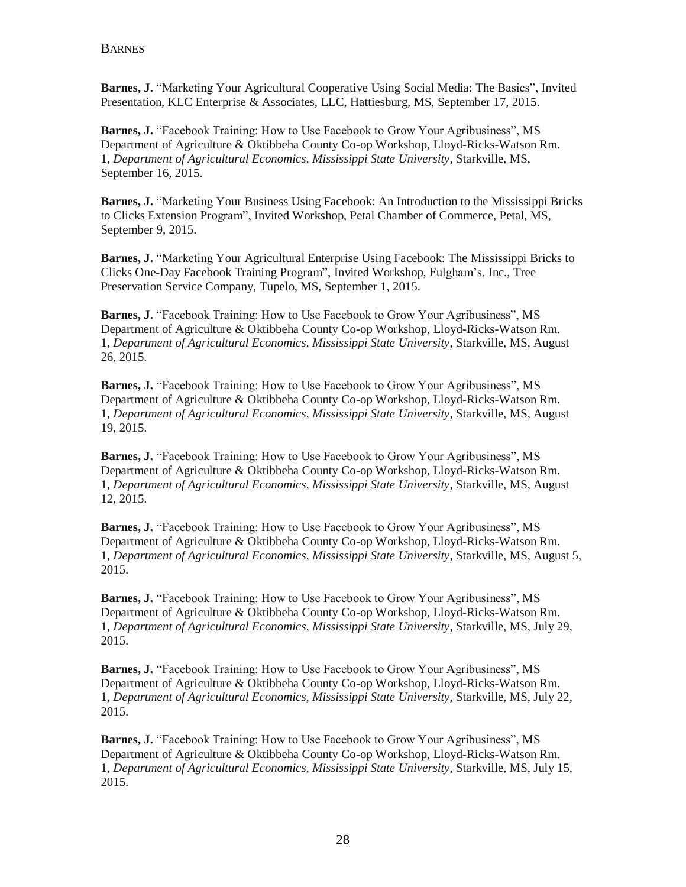**Barnes, J.** "Marketing Your Agricultural Cooperative Using Social Media: The Basics", Invited Presentation, KLC Enterprise & Associates, LLC, Hattiesburg, MS, September 17, 2015.

**Barnes, J.** "Facebook Training: How to Use Facebook to Grow Your Agribusiness", MS Department of Agriculture & Oktibbeha County Co-op Workshop, Lloyd-Ricks-Watson Rm. 1, *Department of Agricultural Economics, Mississippi State University*, Starkville, MS, September 16, 2015.

**Barnes, J.** "Marketing Your Business Using Facebook: An Introduction to the Mississippi Bricks to Clicks Extension Program", Invited Workshop, Petal Chamber of Commerce, Petal, MS, September 9, 2015.

**Barnes, J.** "Marketing Your Agricultural Enterprise Using Facebook: The Mississippi Bricks to Clicks One-Day Facebook Training Program", Invited Workshop, Fulgham's, Inc., Tree Preservation Service Company, Tupelo, MS, September 1, 2015.

**Barnes, J.** "Facebook Training: How to Use Facebook to Grow Your Agribusiness", MS Department of Agriculture & Oktibbeha County Co-op Workshop, Lloyd-Ricks-Watson Rm. 1, *Department of Agricultural Economics, Mississippi State University*, Starkville, MS, August 26, 2015.

**Barnes, J.** "Facebook Training: How to Use Facebook to Grow Your Agribusiness", MS Department of Agriculture & Oktibbeha County Co-op Workshop, Lloyd-Ricks-Watson Rm. 1, *Department of Agricultural Economics, Mississippi State University*, Starkville, MS, August 19, 2015.

**Barnes, J.** "Facebook Training: How to Use Facebook to Grow Your Agribusiness", MS Department of Agriculture & Oktibbeha County Co-op Workshop, Lloyd-Ricks-Watson Rm. 1, *Department of Agricultural Economics, Mississippi State University*, Starkville, MS, August 12, 2015.

**Barnes, J.** "Facebook Training: How to Use Facebook to Grow Your Agribusiness", MS Department of Agriculture & Oktibbeha County Co-op Workshop, Lloyd-Ricks-Watson Rm. 1, *Department of Agricultural Economics, Mississippi State University*, Starkville, MS, August 5, 2015.

**Barnes, J.** "Facebook Training: How to Use Facebook to Grow Your Agribusiness", MS Department of Agriculture & Oktibbeha County Co-op Workshop, Lloyd-Ricks-Watson Rm. 1, *Department of Agricultural Economics, Mississippi State University*, Starkville, MS, July 29, 2015.

**Barnes, J.** "Facebook Training: How to Use Facebook to Grow Your Agribusiness", MS Department of Agriculture & Oktibbeha County Co-op Workshop, Lloyd-Ricks-Watson Rm. 1, *Department of Agricultural Economics, Mississippi State University*, Starkville, MS, July 22, 2015.

**Barnes, J.** "Facebook Training: How to Use Facebook to Grow Your Agribusiness", MS Department of Agriculture & Oktibbeha County Co-op Workshop, Lloyd-Ricks-Watson Rm. 1, *Department of Agricultural Economics, Mississippi State University*, Starkville, MS, July 15, 2015.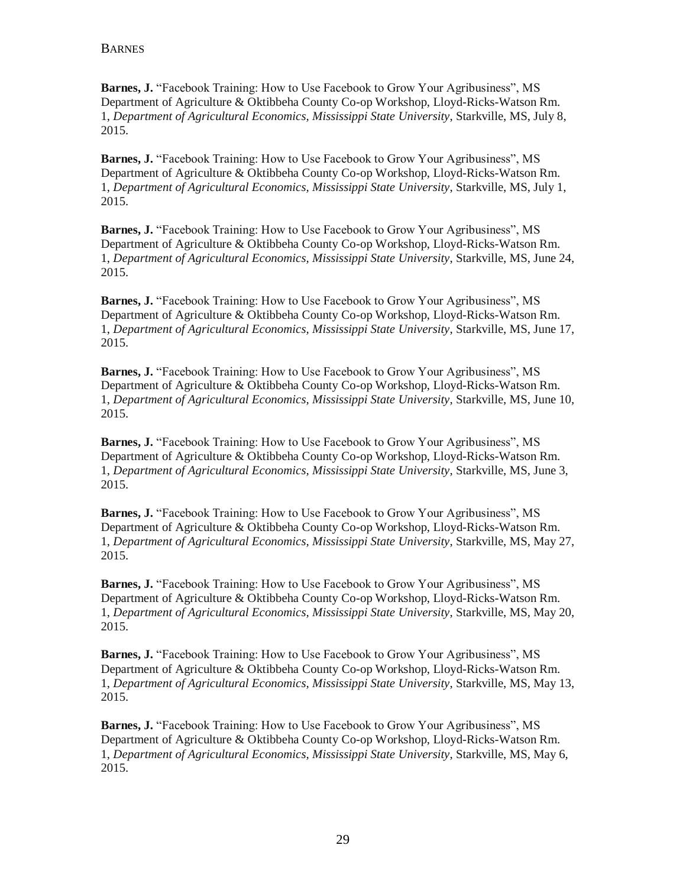**Barnes, J.** "Facebook Training: How to Use Facebook to Grow Your Agribusiness", MS Department of Agriculture & Oktibbeha County Co-op Workshop, Lloyd-Ricks-Watson Rm. 1, *Department of Agricultural Economics, Mississippi State University*, Starkville, MS, July 8, 2015.

**Barnes, J.** "Facebook Training: How to Use Facebook to Grow Your Agribusiness", MS Department of Agriculture & Oktibbeha County Co-op Workshop, Lloyd-Ricks-Watson Rm. 1, *Department of Agricultural Economics, Mississippi State University*, Starkville, MS, July 1, 2015.

**Barnes, J.** "Facebook Training: How to Use Facebook to Grow Your Agribusiness", MS Department of Agriculture & Oktibbeha County Co-op Workshop, Lloyd-Ricks-Watson Rm. 1, *Department of Agricultural Economics, Mississippi State University*, Starkville, MS, June 24, 2015.

**Barnes, J.** "Facebook Training: How to Use Facebook to Grow Your Agribusiness", MS Department of Agriculture & Oktibbeha County Co-op Workshop, Lloyd-Ricks-Watson Rm. 1, *Department of Agricultural Economics, Mississippi State University*, Starkville, MS, June 17, 2015.

**Barnes, J.** "Facebook Training: How to Use Facebook to Grow Your Agribusiness", MS Department of Agriculture & Oktibbeha County Co-op Workshop, Lloyd-Ricks-Watson Rm. 1, *Department of Agricultural Economics, Mississippi State University*, Starkville, MS, June 10, 2015.

**Barnes, J.** "Facebook Training: How to Use Facebook to Grow Your Agribusiness", MS Department of Agriculture & Oktibbeha County Co-op Workshop, Lloyd-Ricks-Watson Rm. 1, *Department of Agricultural Economics, Mississippi State University*, Starkville, MS, June 3, 2015.

**Barnes, J.** "Facebook Training: How to Use Facebook to Grow Your Agribusiness", MS Department of Agriculture & Oktibbeha County Co-op Workshop, Lloyd-Ricks-Watson Rm. 1, *Department of Agricultural Economics, Mississippi State University*, Starkville, MS, May 27, 2015.

**Barnes, J.** "Facebook Training: How to Use Facebook to Grow Your Agribusiness", MS Department of Agriculture & Oktibbeha County Co-op Workshop, Lloyd-Ricks-Watson Rm. 1, *Department of Agricultural Economics, Mississippi State University*, Starkville, MS, May 20, 2015.

**Barnes, J.** "Facebook Training: How to Use Facebook to Grow Your Agribusiness", MS Department of Agriculture & Oktibbeha County Co-op Workshop, Lloyd-Ricks-Watson Rm. 1, *Department of Agricultural Economics, Mississippi State University*, Starkville, MS, May 13, 2015.

**Barnes, J.** "Facebook Training: How to Use Facebook to Grow Your Agribusiness", MS Department of Agriculture & Oktibbeha County Co-op Workshop, Lloyd-Ricks-Watson Rm. 1, *Department of Agricultural Economics, Mississippi State University*, Starkville, MS, May 6, 2015.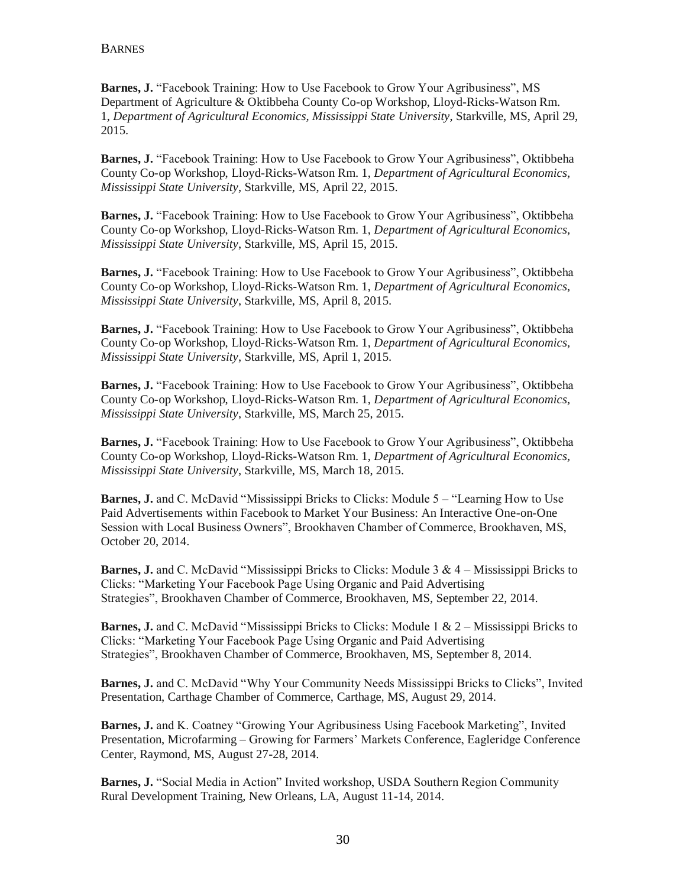**Barnes, J.** "Facebook Training: How to Use Facebook to Grow Your Agribusiness", MS Department of Agriculture & Oktibbeha County Co-op Workshop, Lloyd-Ricks-Watson Rm. 1, *Department of Agricultural Economics, Mississippi State University*, Starkville, MS, April 29, 2015.

**Barnes, J.** "Facebook Training: How to Use Facebook to Grow Your Agribusiness", Oktibbeha County Co-op Workshop, Lloyd-Ricks-Watson Rm. 1, *Department of Agricultural Economics, Mississippi State University*, Starkville, MS, April 22, 2015.

**Barnes, J.** "Facebook Training: How to Use Facebook to Grow Your Agribusiness", Oktibbeha County Co-op Workshop, Lloyd-Ricks-Watson Rm. 1, *Department of Agricultural Economics, Mississippi State University*, Starkville, MS, April 15, 2015.

**Barnes, J.** "Facebook Training: How to Use Facebook to Grow Your Agribusiness", Oktibbeha County Co-op Workshop, Lloyd-Ricks-Watson Rm. 1, *Department of Agricultural Economics, Mississippi State University*, Starkville, MS, April 8, 2015.

**Barnes, J.** "Facebook Training: How to Use Facebook to Grow Your Agribusiness", Oktibbeha County Co-op Workshop, Lloyd-Ricks-Watson Rm. 1, *Department of Agricultural Economics, Mississippi State University*, Starkville, MS, April 1, 2015.

**Barnes, J.** "Facebook Training: How to Use Facebook to Grow Your Agribusiness", Oktibbeha County Co-op Workshop, Lloyd-Ricks-Watson Rm. 1, *Department of Agricultural Economics, Mississippi State University*, Starkville, MS, March 25, 2015.

**Barnes, J.** "Facebook Training: How to Use Facebook to Grow Your Agribusiness", Oktibbeha County Co-op Workshop, Lloyd-Ricks-Watson Rm. 1, *Department of Agricultural Economics, Mississippi State University*, Starkville, MS, March 18, 2015.

**Barnes, J.** and C. McDavid "Mississippi Bricks to Clicks: Module 5 – "Learning How to Use Paid Advertisements within Facebook to Market Your Business: An Interactive One-on-One Session with Local Business Owners", Brookhaven Chamber of Commerce, Brookhaven, MS, October 20, 2014.

**Barnes, J.** and C. McDavid "Mississippi Bricks to Clicks: Module 3 & 4 – Mississippi Bricks to Clicks: "Marketing Your Facebook Page Using Organic and Paid Advertising Strategies", Brookhaven Chamber of Commerce, Brookhaven, MS, September 22, 2014.

**Barnes, J.** and C. McDavid "Mississippi Bricks to Clicks: Module 1 & 2 – Mississippi Bricks to Clicks: "Marketing Your Facebook Page Using Organic and Paid Advertising Strategies", Brookhaven Chamber of Commerce, Brookhaven, MS, September 8, 2014.

**Barnes, J.** and C. McDavid "Why Your Community Needs Mississippi Bricks to Clicks", Invited Presentation, Carthage Chamber of Commerce, Carthage, MS, August 29, 2014.

**Barnes, J.** and K. Coatney "Growing Your Agribusiness Using Facebook Marketing", Invited Presentation, Microfarming – Growing for Farmers' Markets Conference, Eagleridge Conference Center, Raymond, MS, August 27-28, 2014.

**Barnes, J.** "Social Media in Action" Invited workshop, USDA Southern Region Community Rural Development Training, New Orleans, LA, August 11-14, 2014.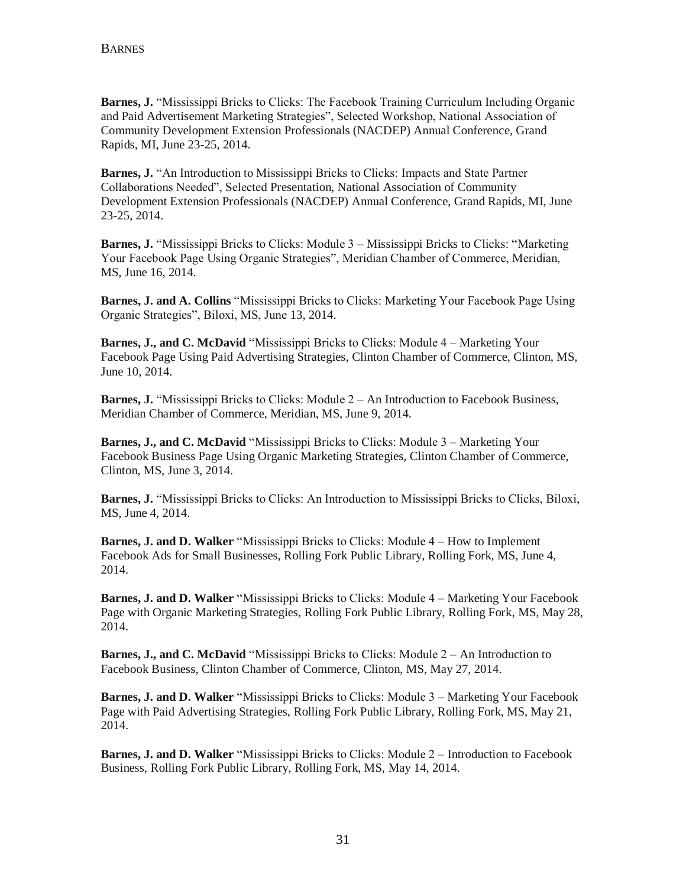**Barnes, J.** "Mississippi Bricks to Clicks: The Facebook Training Curriculum Including Organic and Paid Advertisement Marketing Strategies", Selected Workshop, National Association of Community Development Extension Professionals (NACDEP) Annual Conference, Grand Rapids, MI, June 23-25, 2014.

**Barnes, J.** "An Introduction to Mississippi Bricks to Clicks: Impacts and State Partner Collaborations Needed", Selected Presentation, National Association of Community Development Extension Professionals (NACDEP) Annual Conference, Grand Rapids, MI, June 23-25, 2014.

**Barnes, J.** "Mississippi Bricks to Clicks: Module 3 – Mississippi Bricks to Clicks: "Marketing Your Facebook Page Using Organic Strategies", Meridian Chamber of Commerce, Meridian, MS, June 16, 2014.

**Barnes, J. and A. Collins** "Mississippi Bricks to Clicks: Marketing Your Facebook Page Using Organic Strategies", Biloxi, MS, June 13, 2014.

**Barnes, J., and C. McDavid** "Mississippi Bricks to Clicks: Module 4 – Marketing Your Facebook Page Using Paid Advertising Strategies, Clinton Chamber of Commerce, Clinton, MS, June 10, 2014.

**Barnes, J.** "Mississippi Bricks to Clicks: Module 2 – An Introduction to Facebook Business, Meridian Chamber of Commerce, Meridian, MS, June 9, 2014.

**Barnes, J., and C. McDavid** "Mississippi Bricks to Clicks: Module 3 – Marketing Your Facebook Business Page Using Organic Marketing Strategies, Clinton Chamber of Commerce, Clinton, MS, June 3, 2014.

**Barnes, J.** "Mississippi Bricks to Clicks: An Introduction to Mississippi Bricks to Clicks, Biloxi, MS, June 4, 2014.

**Barnes, J. and D. Walker** "Mississippi Bricks to Clicks: Module 4 – How to Implement Facebook Ads for Small Businesses, Rolling Fork Public Library, Rolling Fork, MS, June 4, 2014.

**Barnes, J. and D. Walker** "Mississippi Bricks to Clicks: Module 4 – Marketing Your Facebook Page with Organic Marketing Strategies, Rolling Fork Public Library, Rolling Fork, MS, May 28, 2014.

**Barnes, J., and C. McDavid** "Mississippi Bricks to Clicks: Module 2 – An Introduction to Facebook Business, Clinton Chamber of Commerce, Clinton, MS, May 27, 2014.

**Barnes, J. and D. Walker** "Mississippi Bricks to Clicks: Module 3 – Marketing Your Facebook Page with Paid Advertising Strategies, Rolling Fork Public Library, Rolling Fork, MS, May 21, 2014.

**Barnes, J. and D. Walker** "Mississippi Bricks to Clicks: Module 2 – Introduction to Facebook Business, Rolling Fork Public Library, Rolling Fork, MS, May 14, 2014.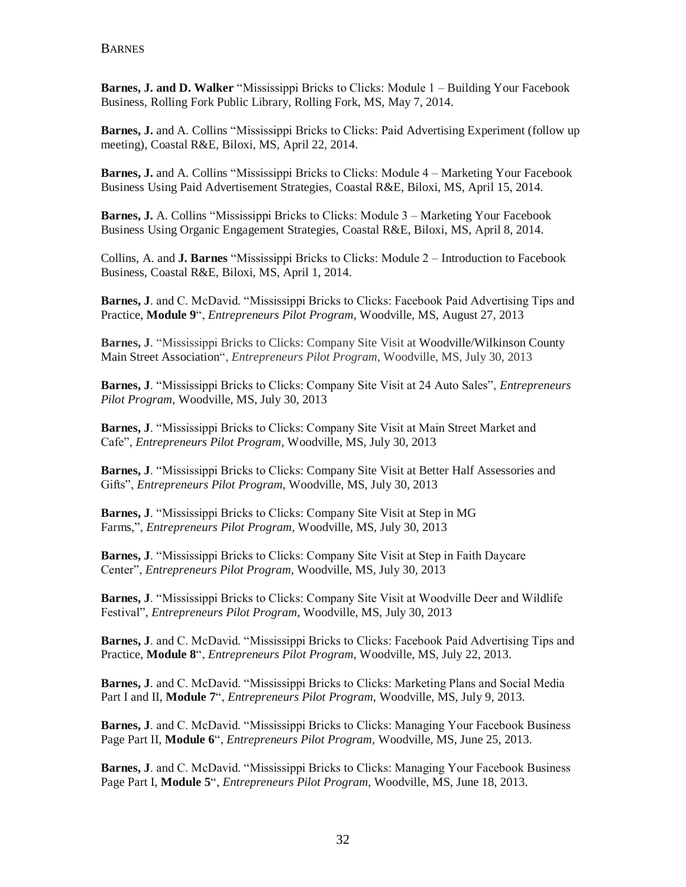**Barnes, J. and D. Walker** "Mississippi Bricks to Clicks: Module 1 – Building Your Facebook Business, Rolling Fork Public Library, Rolling Fork, MS, May 7, 2014.

**Barnes, J.** and A. Collins "Mississippi Bricks to Clicks: Paid Advertising Experiment (follow up meeting), Coastal R&E, Biloxi, MS, April 22, 2014.

**Barnes, J.** and A. Collins "Mississippi Bricks to Clicks: Module 4 – Marketing Your Facebook Business Using Paid Advertisement Strategies, Coastal R&E, Biloxi, MS, April 15, 2014.

**Barnes, J.** A. Collins "Mississippi Bricks to Clicks: Module 3 – Marketing Your Facebook Business Using Organic Engagement Strategies, Coastal R&E, Biloxi, MS, April 8, 2014.

Collins, A. and **J. Barnes** "Mississippi Bricks to Clicks: Module 2 – Introduction to Facebook Business, Coastal R&E, Biloxi, MS, April 1, 2014.

**Barnes, J**. and C. McDavid. "Mississippi Bricks to Clicks: Facebook Paid Advertising Tips and Practice, **Module 9**", *Entrepreneurs Pilot Program*, Woodville, MS, August 27, 2013

**Barnes, J**. "Mississippi Bricks to Clicks: Company Site Visit at Woodville/Wilkinson County Main Street Association", *Entrepreneurs Pilot Program,* Woodville, MS, July 30, 2013

**Barnes, J**. "Mississippi Bricks to Clicks: Company Site Visit at 24 Auto Sales", *Entrepreneurs Pilot Program,* Woodville, MS, July 30, 2013

**Barnes, J**. "Mississippi Bricks to Clicks: Company Site Visit at Main Street Market and Cafe", *Entrepreneurs Pilot Program,* Woodville, MS, July 30, 2013

**Barnes, J**. "Mississippi Bricks to Clicks: Company Site Visit at Better Half Assessories and Gifts", *Entrepreneurs Pilot Program,* Woodville, MS, July 30, 2013

**Barnes, J**. "Mississippi Bricks to Clicks: Company Site Visit at Step in MG Farms,", *Entrepreneurs Pilot Program,* Woodville, MS, July 30, 2013

**Barnes, J**. "Mississippi Bricks to Clicks: Company Site Visit at Step in Faith Daycare Center", *Entrepreneurs Pilot Program,* Woodville, MS, July 30, 2013

**Barnes, J**. "Mississippi Bricks to Clicks: Company Site Visit at Woodville Deer and Wildlife Festival", *Entrepreneurs Pilot Program,* Woodville, MS, July 30, 2013

**Barnes, J**. and C. McDavid. "Mississippi Bricks to Clicks: Facebook Paid Advertising Tips and Practice, **Module 8**", *Entrepreneurs Pilot Program*, Woodville, MS, July 22, 2013.

**Barnes, J**. and C. McDavid. "Mississippi Bricks to Clicks: Marketing Plans and Social Media Part I and II, **Module 7**", *Entrepreneurs Pilot Program*, Woodville, MS, July 9, 2013.

**Barnes, J**. and C. McDavid. "Mississippi Bricks to Clicks: Managing Your Facebook Business Page Part II, **Module 6**", *Entrepreneurs Pilot Program*, Woodville, MS, June 25, 2013.

**Barnes, J**. and C. McDavid. "Mississippi Bricks to Clicks: Managing Your Facebook Business Page Part I, **Module 5**", *Entrepreneurs Pilot Program*, Woodville, MS, June 18, 2013.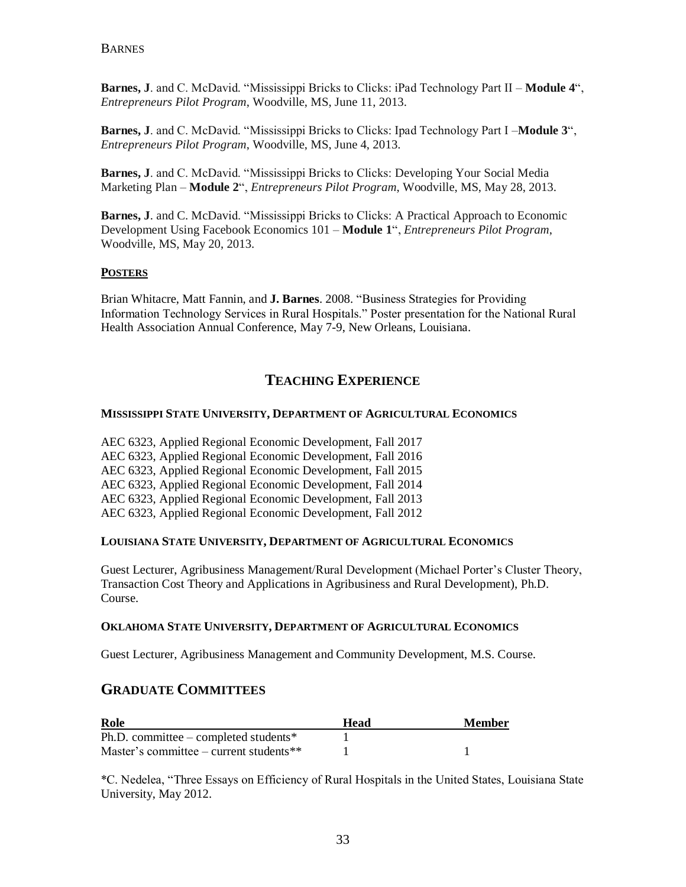**Barnes, J**. and C. McDavid. "Mississippi Bricks to Clicks: iPad Technology Part II – **Module 4**", *Entrepreneurs Pilot Program*, Woodville, MS, June 11, 2013.

**Barnes, J**. and C. McDavid. "Mississippi Bricks to Clicks: Ipad Technology Part I –**Module 3**", *Entrepreneurs Pilot Program*, Woodville, MS, June 4, 2013.

**Barnes, J**. and C. McDavid. "Mississippi Bricks to Clicks: Developing Your Social Media Marketing Plan – **Module 2**", *Entrepreneurs Pilot Program*, Woodville, MS, May 28, 2013.

**Barnes, J**. and C. McDavid. "Mississippi Bricks to Clicks: A Practical Approach to Economic Development Using Facebook Economics 101 – **Module 1**", *Entrepreneurs Pilot Program*, Woodville, MS, May 20, 2013.

#### **POSTERS**

Brian Whitacre, Matt Fannin, and **J. Barnes**. 2008. "Business Strategies for Providing Information Technology Services in Rural Hospitals." Poster presentation for the National Rural Health Association Annual Conference, May 7-9, New Orleans, Louisiana.

## **TEACHING EXPERIENCE**

#### **MISSISSIPPI STATE UNIVERSITY, DEPARTMENT OF AGRICULTURAL ECONOMICS**

AEC 6323, Applied Regional Economic Development, Fall 2017 AEC 6323, Applied Regional Economic Development, Fall 2016 AEC 6323, Applied Regional Economic Development, Fall 2015 AEC 6323, Applied Regional Economic Development, Fall 2014 AEC 6323, Applied Regional Economic Development, Fall 2013 AEC 6323, Applied Regional Economic Development, Fall 2012

#### **LOUISIANA STATE UNIVERSITY, DEPARTMENT OF AGRICULTURAL ECONOMICS**

Guest Lecturer, Agribusiness Management/Rural Development (Michael Porter's Cluster Theory, Transaction Cost Theory and Applications in Agribusiness and Rural Development), Ph.D. Course.

#### **OKLAHOMA STATE UNIVERSITY, DEPARTMENT OF AGRICULTURAL ECONOMICS**

Guest Lecturer, Agribusiness Management and Community Development, M.S. Course.

### **GRADUATE COMMITTEES**

| Role                                       | Head | <b>Member</b> |
|--------------------------------------------|------|---------------|
| Ph.D. committee – completed students*      |      |               |
| Master's committee – current students $**$ |      |               |

\*C. Nedelea, "Three Essays on Efficiency of Rural Hospitals in the United States, Louisiana State University, May 2012.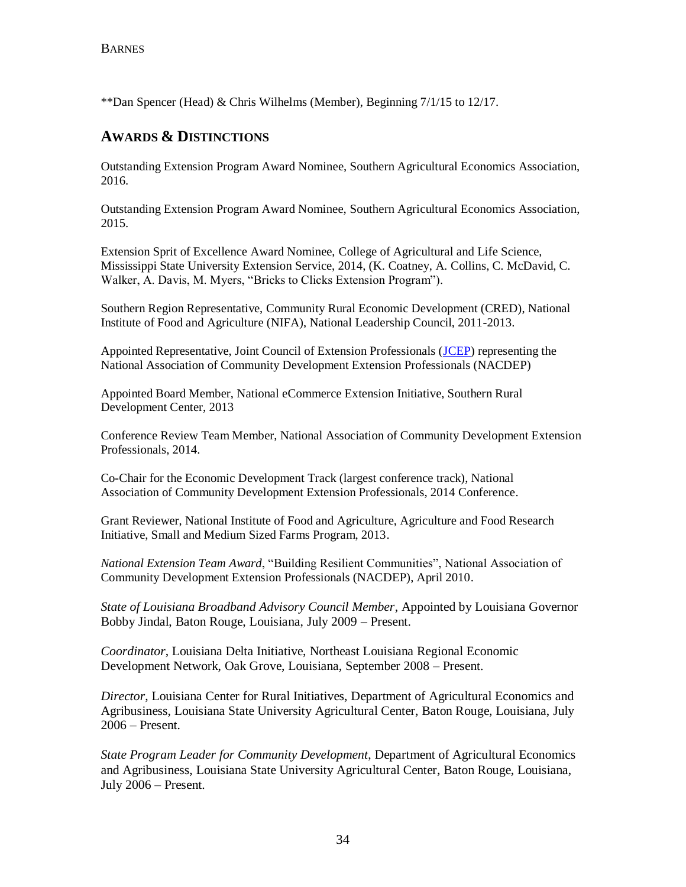\*\*Dan Spencer (Head) & Chris Wilhelms (Member), Beginning 7/1/15 to 12/17.

## **AWARDS & DISTINCTIONS**

Outstanding Extension Program Award Nominee, Southern Agricultural Economics Association, 2016.

Outstanding Extension Program Award Nominee, Southern Agricultural Economics Association, 2015.

Extension Sprit of Excellence Award Nominee, College of Agricultural and Life Science, Mississippi State University Extension Service, 2014, (K. Coatney, A. Collins, C. McDavid, C. Walker, A. Davis, M. Myers, "Bricks to Clicks Extension Program").

Southern Region Representative, Community Rural Economic Development (CRED), National Institute of Food and Agriculture (NIFA), National Leadership Council, 2011-2013.

Appointed Representative, Joint Council of Extension Professionals [\(JCEP\)](http://jcep.org/) representing the National Association of Community Development Extension Professionals (NACDEP)

Appointed Board Member, National eCommerce Extension Initiative, Southern Rural Development Center, 2013

Conference Review Team Member, National Association of Community Development Extension Professionals, 2014.

Co-Chair for the Economic Development Track (largest conference track), National Association of Community Development Extension Professionals, 2014 Conference.

Grant Reviewer, National Institute of Food and Agriculture, Agriculture and Food Research Initiative, Small and Medium Sized Farms Program, 2013.

*National Extension Team Award*, "Building Resilient Communities", National Association of Community Development Extension Professionals (NACDEP), April 2010.

*State of Louisiana Broadband Advisory Council Member*, Appointed by Louisiana Governor Bobby Jindal, Baton Rouge, Louisiana, July 2009 – Present.

*Coordinator*, Louisiana Delta Initiative, Northeast Louisiana Regional Economic Development Network, Oak Grove, Louisiana, September 2008 – Present.

*Director*, Louisiana Center for Rural Initiatives, Department of Agricultural Economics and Agribusiness, Louisiana State University Agricultural Center, Baton Rouge, Louisiana, July 2006 – Present.

*State Program Leader for Community Development*, Department of Agricultural Economics and Agribusiness, Louisiana State University Agricultural Center, Baton Rouge, Louisiana, July 2006 – Present.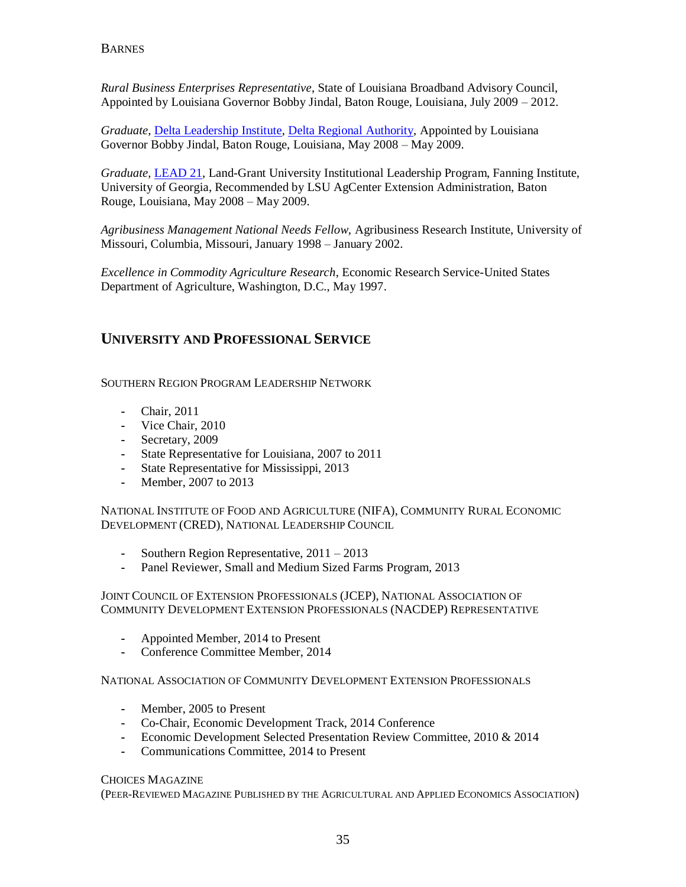*Rural Business Enterprises Representative*, State of Louisiana Broadband Advisory Council, Appointed by Louisiana Governor Bobby Jindal, Baton Rouge, Louisiana, July 2009 – 2012.

*Graduate,* [Delta Leadership Institute,](http://www.deltaleadership.org/) [Delta Regional Authority,](http://www.dra.gov/) Appointed by Louisiana Governor Bobby Jindal, Baton Rouge, Louisiana, May 2008 – May 2009.

*Graduate,* [LEAD 21,](http://www.fanning.uga.edu/work/lead21.html) Land-Grant University Institutional Leadership Program, Fanning Institute, University of Georgia, Recommended by LSU AgCenter Extension Administration, Baton Rouge, Louisiana, May 2008 – May 2009.

*Agribusiness Management National Needs Fellow,* Agribusiness Research Institute, University of Missouri, Columbia, Missouri, January 1998 – January 2002.

*Excellence in Commodity Agriculture Research*, Economic Research Service-United States Department of Agriculture, Washington, D.C., May 1997.

## **UNIVERSITY AND PROFESSIONAL SERVICE**

SOUTHERN REGION PROGRAM LEADERSHIP NETWORK

- **-** Chair, 2011
- **-** Vice Chair, 2010
- **-** Secretary, 2009
- **-** State Representative for Louisiana, 2007 to 2011
- **-** State Representative for Mississippi, 2013
- **-** Member, 2007 to 2013

NATIONAL INSTITUTE OF FOOD AND AGRICULTURE (NIFA), COMMUNITY RURAL ECONOMIC DEVELOPMENT (CRED), NATIONAL LEADERSHIP COUNCIL

- **-** Southern Region Representative, 2011 2013
- **-** Panel Reviewer, Small and Medium Sized Farms Program, 2013

JOINT COUNCIL OF EXTENSION PROFESSIONALS (JCEP), NATIONAL ASSOCIATION OF COMMUNITY DEVELOPMENT EXTENSION PROFESSIONALS (NACDEP) REPRESENTATIVE

- **-** Appointed Member, 2014 to Present
- **-** Conference Committee Member, 2014

NATIONAL ASSOCIATION OF COMMUNITY DEVELOPMENT EXTENSION PROFESSIONALS

- **-** Member, 2005 to Present
- **-** Co-Chair, Economic Development Track, 2014 Conference
- **-** Economic Development Selected Presentation Review Committee, 2010 & 2014
- **-** Communications Committee, 2014 to Present

#### CHOICES MAGAZINE

(PEER-REVIEWED MAGAZINE PUBLISHED BY THE AGRICULTURAL AND APPLIED ECONOMICS ASSOCIATION)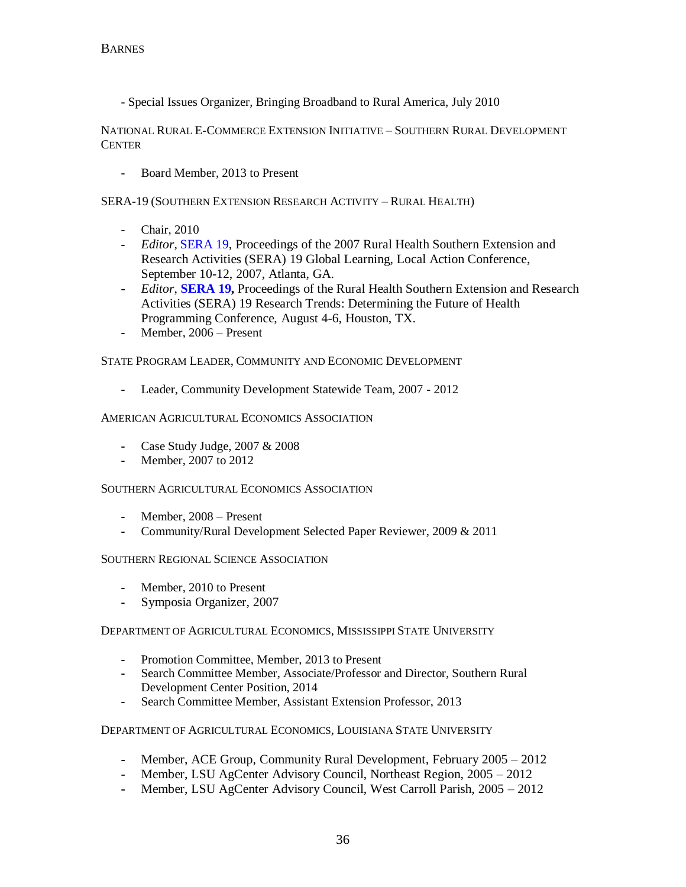- Special Issues Organizer, Bringing Broadband to Rural America, July 2010

NATIONAL RURAL E-COMMERCE EXTENSION INITIATIVE – SOUTHERN RURAL DEVELOPMENT **CENTER** 

**-** Board Member, 2013 to Present

SERA-19 (SOUTHERN EXTENSION RESEARCH ACTIVITY – RURAL HEALTH)

- **-** Chair, 2010
- **-** *Editor*, [SERA 19,](http://srdc.msstate.edu/sera19/) Proceedings of the 2007 Rural Health Southern Extension and Research Activities (SERA) 19 Global Learning, Local Action Conference, September 10-12, 2007, Atlanta, GA.
- **-** *Editor*, **[SERA 19,](http://srdc.msstate.edu/sera19/)** Proceedings of the Rural Health Southern Extension and Research Activities (SERA) 19 Research Trends: Determining the Future of Health Programming Conference, August 4-6, Houston, TX.
- **-** Member, 2006 Present

STATE PROGRAM LEADER, COMMUNITY AND ECONOMIC DEVELOPMENT

**-** Leader, Community Development Statewide Team, 2007 - 2012

#### AMERICAN AGRICULTURAL ECONOMICS ASSOCIATION

- **-** Case Study Judge, 2007 & 2008
- **-** Member, 2007 to 2012

#### SOUTHERN AGRICULTURAL ECONOMICS ASSOCIATION

- **-** Member, 2008 Present
- **-** Community/Rural Development Selected Paper Reviewer, 2009 & 2011

#### SOUTHERN REGIONAL SCIENCE ASSOCIATION

- **-** Member, 2010 to Present
- **-** Symposia Organizer, 2007

#### DEPARTMENT OF AGRICULTURAL ECONOMICS, MISSISSIPPI STATE UNIVERSITY

- **-** Promotion Committee, Member, 2013 to Present
- **-** Search Committee Member, Associate/Professor and Director, Southern Rural Development Center Position, 2014
- **-** Search Committee Member, Assistant Extension Professor, 2013

#### DEPARTMENT OF AGRICULTURAL ECONOMICS, LOUISIANA STATE UNIVERSITY

- **-** Member, ACE Group, Community Rural Development, February 2005 2012
- **-** Member, LSU AgCenter Advisory Council, Northeast Region, 2005 2012
- **-** Member, LSU AgCenter Advisory Council, West Carroll Parish, 2005 2012